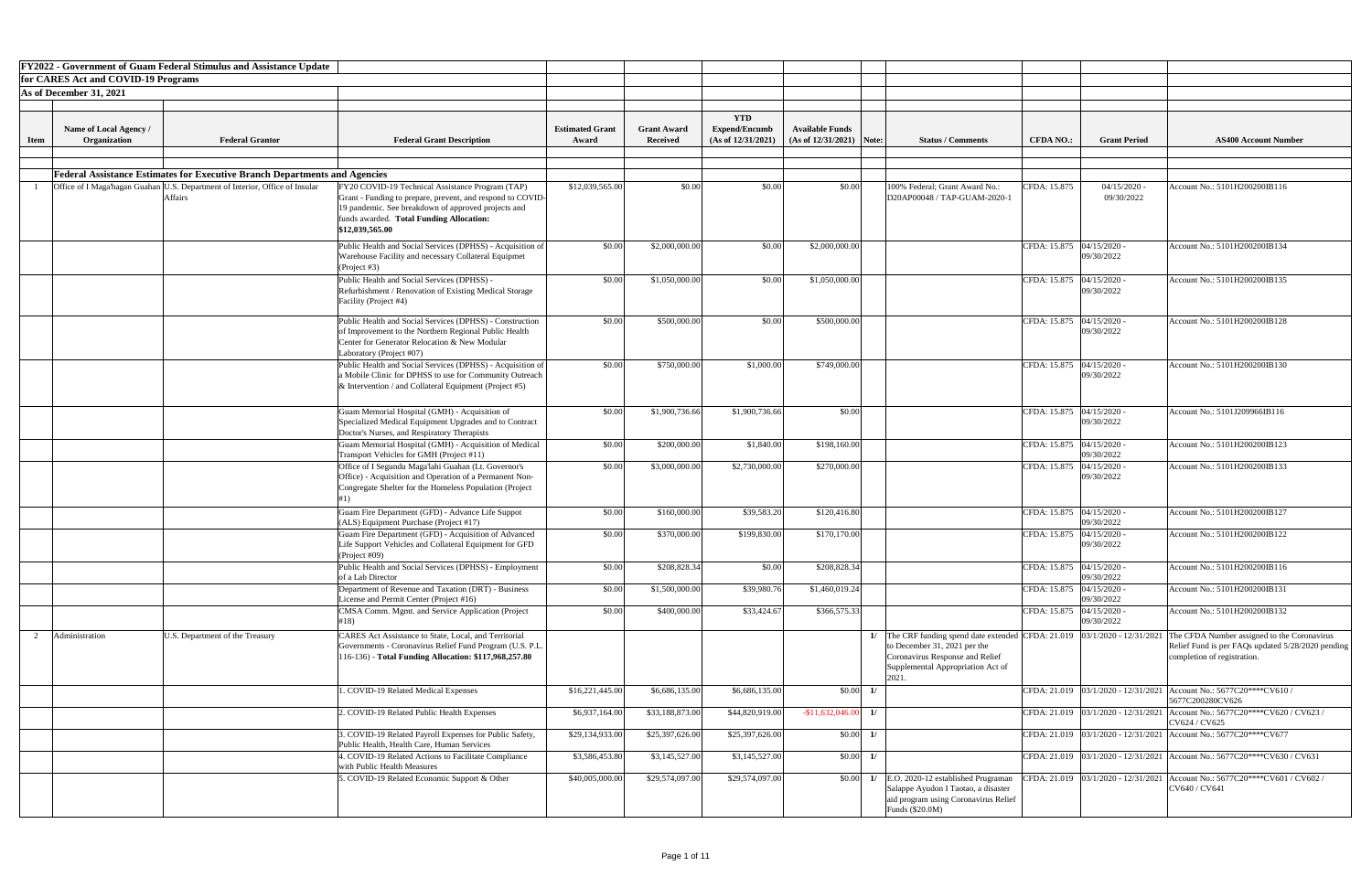|             |                                        | <b>FY2022 - Government of Guam Federal Stimulus and Assistance Update</b>                        |                                                                                                                                                                                                                                      |                                 |                                       |                                                          |                                                       |            |                                                                                                                                                                                                 |                             |                              |                                                                                                                                 |
|-------------|----------------------------------------|--------------------------------------------------------------------------------------------------|--------------------------------------------------------------------------------------------------------------------------------------------------------------------------------------------------------------------------------------|---------------------------------|---------------------------------------|----------------------------------------------------------|-------------------------------------------------------|------------|-------------------------------------------------------------------------------------------------------------------------------------------------------------------------------------------------|-----------------------------|------------------------------|---------------------------------------------------------------------------------------------------------------------------------|
|             | for CARES Act and COVID-19 Programs    |                                                                                                  |                                                                                                                                                                                                                                      |                                 |                                       |                                                          |                                                       |            |                                                                                                                                                                                                 |                             |                              |                                                                                                                                 |
|             | As of December 31, 2021                |                                                                                                  |                                                                                                                                                                                                                                      |                                 |                                       |                                                          |                                                       |            |                                                                                                                                                                                                 |                             |                              |                                                                                                                                 |
|             |                                        |                                                                                                  |                                                                                                                                                                                                                                      |                                 |                                       |                                                          |                                                       |            |                                                                                                                                                                                                 |                             |                              |                                                                                                                                 |
| <b>Item</b> | Name of Local Agency /<br>Organization | <b>Federal Grantor</b>                                                                           | <b>Federal Grant Description</b>                                                                                                                                                                                                     | <b>Estimated Grant</b><br>Award | <b>Grant Award</b><br><b>Received</b> | <b>YTD</b><br><b>Expend/Encumb</b><br>(As of 12/31/2021) | <b>Available Funds</b><br>(As of $12/31/2021$ ) Note: |            | <b>Status / Comments</b>                                                                                                                                                                        | <b>CFDA NO.:</b>            | <b>Grant Period</b>          | <b>AS400 Account Number</b>                                                                                                     |
|             |                                        |                                                                                                  |                                                                                                                                                                                                                                      |                                 |                                       |                                                          |                                                       |            |                                                                                                                                                                                                 |                             |                              |                                                                                                                                 |
|             |                                        |                                                                                                  |                                                                                                                                                                                                                                      |                                 |                                       |                                                          |                                                       |            |                                                                                                                                                                                                 |                             |                              |                                                                                                                                 |
|             |                                        | <b>Federal Assistance Estimates for Executive Branch Departments and Agencies</b>                |                                                                                                                                                                                                                                      |                                 |                                       |                                                          |                                                       |            |                                                                                                                                                                                                 |                             |                              |                                                                                                                                 |
|             |                                        | Office of I Maga'hagan Guahan   U.S. Department of Interior, Office of Insular<br><b>Affairs</b> | FY20 COVID-19 Technical Assistance Program (TAP)<br>Grant - Funding to prepare, prevent, and respond to COVID-<br>19 pandemic. See breakdown of approved projects and<br>funds awarded. Total Funding Allocation:<br>\$12,039,565.00 | \$12,039,565.00                 | \$0.00                                | \$0.00                                                   | \$0.00                                                |            | 100% Federal; Grant Award No.:<br>D20AP00048 / TAP-GUAM-2020-1                                                                                                                                  | CFDA: 15.875                | $04/15/2020$ -<br>09/30/2022 | Account No.: 5101H200200IB116                                                                                                   |
|             |                                        |                                                                                                  | Public Health and Social Services (DPHSS) - Acquisition of<br>Warehouse Facility and necessary Collateral Equipmet<br>(Project #3)                                                                                                   | \$0.00                          | \$2,000,000.00                        | \$0.00                                                   | \$2,000,000.00                                        |            |                                                                                                                                                                                                 | CFDA: 15.875 04/15/2020 -   | 09/30/2022                   | Account No.: 5101H200200IB134                                                                                                   |
|             |                                        |                                                                                                  | Public Health and Social Services (DPHSS) -<br>Refurbishment / Renovation of Existing Medical Storage<br>Facility (Project #4)                                                                                                       | \$0.00                          | \$1,050,000.00                        | \$0.00                                                   | \$1,050,000.00                                        |            |                                                                                                                                                                                                 | CFDA: 15.875 04/15/2020 -   | 09/30/2022                   | Account No.: 5101H200200IB135                                                                                                   |
|             |                                        |                                                                                                  | Public Health and Social Services (DPHSS) - Construction<br>of Improvement to the Northern Regional Public Health<br>Center for Generator Relocation & New Modular<br>Laboratory (Project #07)                                       | \$0.00                          | \$500,000.00                          | \$0.00                                                   | \$500,000.00                                          |            |                                                                                                                                                                                                 | CFDA: 15.875  04/15/2020 -  | 09/30/2022                   | Account No.: 5101H200200IB128                                                                                                   |
|             |                                        |                                                                                                  | Public Health and Social Services (DPHSS) - Acquisition of<br>a Mobile Clinic for DPHSS to use for Community Outreach  <br>& Intervention / and Collateral Equipment (Project $#5$ )                                                 | \$0.00                          | \$750,000.00                          | \$1,000.00                                               | \$749,000.00                                          |            |                                                                                                                                                                                                 | CFDA: 15.875   04/15/2020 - | 09/30/2022                   | Account No.: 5101H200200IB130                                                                                                   |
|             |                                        |                                                                                                  | Guam Memorial Hospital (GMH) - Acquisition of<br>Specialized Medical Equipment Upgrades and to Contract<br>Doctor's Nurses, and Respiratory Therapists                                                                               | \$0.00                          | \$1,900,736.66                        | \$1,900,736.66                                           | \$0.00                                                |            |                                                                                                                                                                                                 | CFDA: 15.875 04/15/2020 -   | 09/30/2022                   | Account No.: 5101J209966IB116                                                                                                   |
|             |                                        |                                                                                                  | Guam Memorial Hospital (GMH) - Acquisition of Medical<br>Transport Vehicles for GMH (Project #11)                                                                                                                                    | \$0.00                          | \$200,000.00                          | \$1,840.00                                               | \$198,160.00                                          |            |                                                                                                                                                                                                 | CFDA: 15.875 04/15/2020 -   | 09/30/2022                   | Account No.: 5101H200200IB123                                                                                                   |
|             |                                        |                                                                                                  | Office of I Segundu Maga'lahi Guahan (Lt. Governor's<br>Office) - Acquisition and Operation of a Permanent Non-<br>Congregate Shelter for the Homeless Population (Project                                                           | \$0.00                          | \$3,000,000.00                        | \$2,730,000.00                                           | \$270,000.00                                          |            |                                                                                                                                                                                                 | CFDA: 15.875   04/15/2020 - | 09/30/2022                   | Account No.: 5101H200200IB133                                                                                                   |
|             |                                        |                                                                                                  | Guam Fire Department (GFD) - Advance Life Suppot<br>(ALS) Equipment Purchase (Project #17)                                                                                                                                           | \$0.00                          | \$160,000.00                          | \$39,583.20                                              | \$120,416.80                                          |            |                                                                                                                                                                                                 | CFDA: 15.875 04/15/2020 -   | 09/30/2022                   | Account No.: 5101H200200IB127                                                                                                   |
|             |                                        |                                                                                                  | Guam Fire Department (GFD) - Acquisition of Advanced<br>Life Support Vehicles and Collateral Equipment for GFD<br>(Project #09)                                                                                                      | \$0.00                          | \$370,000.00                          | \$199,830.00                                             | \$170,170.00                                          |            |                                                                                                                                                                                                 | CFDA: 15.875 04/15/2020 -   | 09/30/2022                   | Account No.: 5101H200200IB122                                                                                                   |
|             |                                        |                                                                                                  | Public Health and Social Services (DPHSS) - Employment<br>of a Lab Director                                                                                                                                                          | \$0.00                          | \$208,828.34                          | \$0.00                                                   | \$208,828.34                                          |            |                                                                                                                                                                                                 | CFDA: 15.875 04/15/2020 -   | 09/30/2022                   | Account No.: 5101H200200IB116                                                                                                   |
|             |                                        |                                                                                                  | Department of Revenue and Taxation (DRT) - Business<br>License and Permit Center (Project #16)                                                                                                                                       | \$0.00                          | \$1,500,000.00                        | \$39,980.76                                              | \$1,460,019.24                                        |            |                                                                                                                                                                                                 | CFDA: 15.875 04/15/2020 -   | 09/30/2022                   | Account No.: 5101H200200IB131                                                                                                   |
|             |                                        |                                                                                                  | CMSA Comm. Mgmt. and Service Application (Project<br>#18)                                                                                                                                                                            | \$0.00                          | \$400,000.00                          | \$33,424.67                                              | \$366,575.33                                          |            |                                                                                                                                                                                                 | CFDA: 15.875 04/15/2020 -   | 09/30/2022                   | Account No.: 5101H200200IB132                                                                                                   |
|             | Administration                         | U.S. Department of the Treasury                                                                  | <b>CARES Act Assistance to State, Local, and Territorial</b><br>Governments - Coronavirus Relief Fund Program (U.S. P.L.<br>116-136) - Total Funding Allocation: \$117,968,257.80                                                    |                                 |                                       |                                                          |                                                       |            | 1/ The CRF funding spend date extended CFDA: $21.019$   03/1/2020 - 12/31/2021<br>to December 31, 2021 per the<br>Coronavirus Response and Relief<br>Supplemental Appropriation Act of<br>2021. |                             |                              | The CFDA Number assigned to the Coronavirus<br>Relief Fund is per FAQs updated 5/28/2020 pending<br>completion of registration. |
|             |                                        |                                                                                                  | . COVID-19 Related Medical Expenses                                                                                                                                                                                                  | \$16,221,445.00                 | \$6,686,135.00                        | \$6,686,135.00                                           |                                                       | $$0.00$ 1/ |                                                                                                                                                                                                 |                             |                              | CFDA: 21.019   03/1/2020 - 12/31/2021   Account No.: 5677C20****CV610 /<br>5677C200280CV626                                     |
|             |                                        |                                                                                                  | 2. COVID-19 Related Public Health Expenses                                                                                                                                                                                           | \$6,937,164.00                  | \$33,188,873.00                       | \$44,820,919.00                                          | $-$ \$11,632,046.00 1/                                |            |                                                                                                                                                                                                 |                             |                              | CFDA: 21.019   03/1/2020 - 12/31/2021   Account No.: 5677C20****CV620 / CV623 /<br>CV624 / CV625                                |
|             |                                        |                                                                                                  | . COVID-19 Related Payroll Expenses for Public Safety,<br>Public Health, Health Care, Human Services                                                                                                                                 | \$29,134,933.00                 | \$25,397,626.00                       | \$25,397,626.00                                          | $$0.00$ 1/                                            |            |                                                                                                                                                                                                 |                             |                              | CFDA: 21.019 03/1/2020 - 12/31/2021 Account No.: 5677C20****CV677                                                               |
|             |                                        |                                                                                                  | 4. COVID-19 Related Actions to Facilitate Compliance<br>with Public Health Measures                                                                                                                                                  | \$3,586,453.80                  | \$3,145,527.00                        | \$3,145,527.00                                           |                                                       | $$0.00$ 1/ |                                                                                                                                                                                                 |                             |                              | CFDA: 21.019   03/1/2020 - 12/31/2021   Account No.: 5677C20****CV630 / CV631                                                   |
|             |                                        |                                                                                                  | 5. COVID-19 Related Economic Support & Other                                                                                                                                                                                         | \$40,005,000.00                 | \$29,574,097.00                       | \$29,574,097.00                                          |                                                       | $$0.00$ 1/ | E.O. 2020-12 established Prugraman<br>Salappe Ayudon I Taotao, a disaster<br>aid program using Coronavirus Relief<br>Funds (\$20.0M)                                                            |                             |                              | CFDA: 21.019   03/1/2020 - 12/31/2021   Account No.: 5677C20****CV601 / CV602 /<br>CV640 / CV641                                |

| <b>Number</b>                               |
|---------------------------------------------|
|                                             |
|                                             |
| $\overline{3116}$                           |
|                                             |
| $\frac{1}{3134}$                            |
| 3135                                        |
|                                             |
| 3128                                        |
| $\frac{1}{31}30$                            |
| 116                                         |
|                                             |
| 3123                                        |
| 3133                                        |
| 3127                                        |
|                                             |
| 3122                                        |
| $\overline{3116}$                           |
| $\frac{1}{3131}$                            |
| 3132                                        |
| to the Coronavirus<br>ted 5/28/2020 pending |
|                                             |
| V610/                                       |
| V620 / CV623 /                              |
| $\overline{V677}$                           |
| V630 / CV631                                |
| $\sqrt{601}$ / CV602 /                      |
|                                             |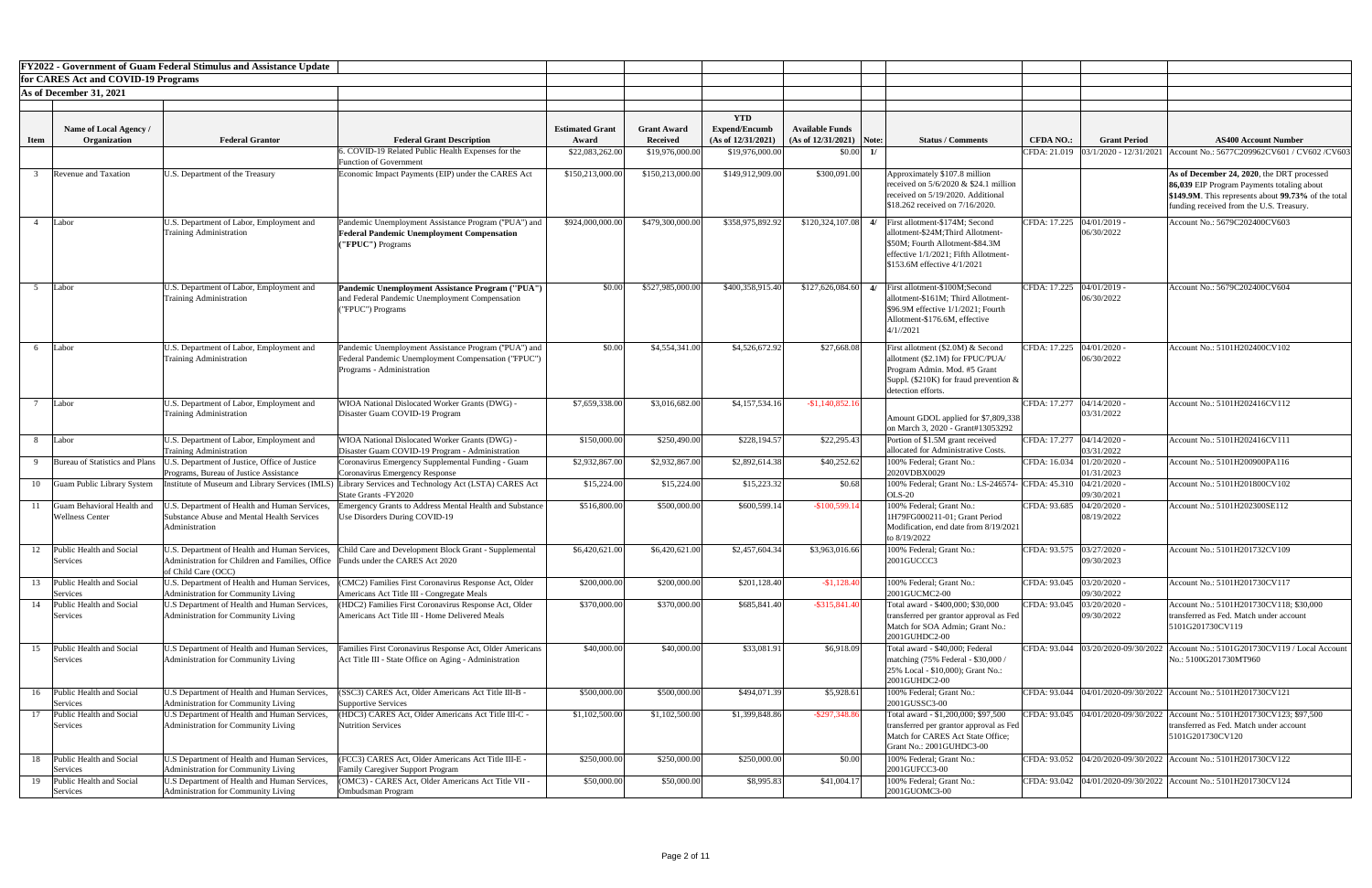| <b>FY2022 - Government of Guam Federal Stimulus and Assistance Update</b> |                                      |                                                                                           |                                                                                                             |                        |                    |                      |                            |                                                                                         |                             |                                           |                                                                                      |
|---------------------------------------------------------------------------|--------------------------------------|-------------------------------------------------------------------------------------------|-------------------------------------------------------------------------------------------------------------|------------------------|--------------------|----------------------|----------------------------|-----------------------------------------------------------------------------------------|-----------------------------|-------------------------------------------|--------------------------------------------------------------------------------------|
|                                                                           | for CARES Act and COVID-19 Programs  |                                                                                           |                                                                                                             |                        |                    |                      |                            |                                                                                         |                             |                                           |                                                                                      |
|                                                                           | As of December 31, 2021              |                                                                                           |                                                                                                             |                        |                    |                      |                            |                                                                                         |                             |                                           |                                                                                      |
|                                                                           |                                      |                                                                                           |                                                                                                             |                        |                    | <b>YTD</b>           |                            |                                                                                         |                             |                                           |                                                                                      |
|                                                                           | Name of Local Agency /               |                                                                                           |                                                                                                             | <b>Estimated Grant</b> | <b>Grant Award</b> | <b>Expend/Encumb</b> | <b>Available Funds</b>     |                                                                                         |                             |                                           |                                                                                      |
| <b>Item</b>                                                               | Organization                         | <b>Federal Grantor</b>                                                                    | <b>Federal Grant Description</b>                                                                            | Award                  | <b>Received</b>    | (As of 12/31/2021)   | $(As of 12/31/2021)$ Note: | <b>Status / Comments</b>                                                                | <b>CFDA NO.:</b>            | <b>Grant Period</b>                       | <b>AS400 Account Number</b>                                                          |
|                                                                           |                                      |                                                                                           | . COVID-19 Related Public Health Expenses for the<br><b>Function of Government</b>                          | \$22,083,262.00        | \$19,976,000.00    | \$19,976,000.00      | \$0.00                     |                                                                                         |                             | CFDA: 21.019 03/1/2020 - 12/31/2021       | Account No.: 5677C209962CV601 / CV602 / CV603                                        |
|                                                                           | <b>Revenue and Taxation</b>          | U.S. Department of the Treasury                                                           | Economic Impact Payments (EIP) under the CARES Act                                                          | \$150,213,000.00       | \$150,213,000.00   | \$149,912,909.00     | \$300,091.00               | Approximately \$107.8 million                                                           |                             |                                           | As of December 24, 2020, the DRT processed                                           |
|                                                                           |                                      |                                                                                           |                                                                                                             |                        |                    |                      |                            | received on $5/6/2020 \& $24.1$ million                                                 |                             |                                           | 86,039 EIP Program Payments totaling about                                           |
|                                                                           |                                      |                                                                                           |                                                                                                             |                        |                    |                      |                            | received on 5/19/2020. Additional                                                       |                             |                                           | \$149.9M. This represents about 99.73% of the total                                  |
|                                                                           |                                      |                                                                                           |                                                                                                             |                        |                    |                      |                            | \$18.262 received on 7/16/2020.                                                         |                             |                                           | funding received from the U.S. Treasury.                                             |
|                                                                           | Labor                                | U.S. Department of Labor, Employment and<br>Training Administration                       | Pandemic Unemployment Assistance Program ("PUA") and<br><b>Federal Pandemic Unemployment Compensation</b>   | \$924,000,000.00       | \$479,300,000.00   | \$358,975,892.92     |                            | $$120,324,107.08$ 4/ First allotment-\$174M; Second<br>allotment-\$24M:Third Allotment- |                             | CFDA: 17.225   04/01/2019 -<br>06/30/2022 | Account No.: 5679C202400CV603                                                        |
|                                                                           |                                      |                                                                                           | "FPUC") Programs                                                                                            |                        |                    |                      |                            | \$50M; Fourth Allotment-\$84.3M                                                         |                             |                                           |                                                                                      |
|                                                                           |                                      |                                                                                           |                                                                                                             |                        |                    |                      |                            | effective 1/1/2021; Fifth Allotment-                                                    |                             |                                           |                                                                                      |
|                                                                           |                                      |                                                                                           |                                                                                                             |                        |                    |                      |                            | \$153.6M effective 4/1/2021                                                             |                             |                                           |                                                                                      |
|                                                                           | Labor                                | U.S. Department of Labor, Employment and                                                  | Pandemic Unemployment Assistance Program ("PUA")                                                            | \$0.00                 | \$527,985,000.00   | \$400,358,915.40     | \$127,626,084.60           | 4/ First allotment-\$100M;Second                                                        | CFDA: 17.225 04/01/2019 -   |                                           | Account No.: 5679C202400CV604                                                        |
|                                                                           |                                      | <b>Training Administration</b>                                                            | and Federal Pandemic Unemployment Compensation                                                              |                        |                    |                      |                            | allotment-\$161M; Third Allotment-                                                      |                             | 06/30/2022                                |                                                                                      |
|                                                                           |                                      |                                                                                           | ("FPUC") Programs                                                                                           |                        |                    |                      |                            | $\$96.9M$ effective $1/1/2021$ ; Fourth                                                 |                             |                                           |                                                                                      |
|                                                                           |                                      |                                                                                           |                                                                                                             |                        |                    |                      |                            | Allotment-\$176.6M, effective<br>4/1//2021                                              |                             |                                           |                                                                                      |
|                                                                           |                                      |                                                                                           |                                                                                                             |                        |                    |                      |                            |                                                                                         |                             |                                           |                                                                                      |
|                                                                           | Labor                                | U.S. Department of Labor, Employment and<br><b>Training Administration</b>                | Pandemic Unemployment Assistance Program ("PUA") and<br>Federal Pandemic Unemployment Compensation ("FPUC") | \$0.00                 | \$4,554,341.00     | \$4,526,672.92       | \$27,668.08                | First allotment (\$2.0M) & Second<br>allotment (\$2.1M) for FPUC/PUA/                   | CFDA: 17.225 04/01/2020 -   | 06/30/2022                                | Account No.: 5101H202400CV102                                                        |
|                                                                           |                                      |                                                                                           | Programs - Administration                                                                                   |                        |                    |                      |                            | Program Admin. Mod. #5 Grant                                                            |                             |                                           |                                                                                      |
|                                                                           |                                      |                                                                                           |                                                                                                             |                        |                    |                      |                            | Suppl. (\$210K) for fraud prevention $\&$                                               |                             |                                           |                                                                                      |
|                                                                           |                                      |                                                                                           |                                                                                                             |                        |                    |                      |                            | detection efforts.                                                                      |                             |                                           |                                                                                      |
|                                                                           | Labor                                | U.S. Department of Labor, Employment and<br>Training Administration                       | WIOA National Dislocated Worker Grants (DWG) -<br>Disaster Guam COVID-19 Program                            | \$7,659,338.00         | \$3,016,682.00     | \$4,157,534.16       | $-$1,140,852.16$           |                                                                                         | CFDA: 17.277   04/14/2020 - | 03/31/2022                                | Account No.: 5101H202416CV112                                                        |
|                                                                           |                                      |                                                                                           |                                                                                                             |                        |                    |                      |                            | Amount GDOL applied for \$7,809,338                                                     |                             |                                           |                                                                                      |
|                                                                           | Labor                                | U.S. Department of Labor, Employment and                                                  | WIOA National Dislocated Worker Grants (DWG) -                                                              | \$150,000.00           | \$250,490.00       | \$228,194.57         | \$22,295.43                | on March 3, 2020 - Grant#13053292<br>Portion of \$1.5M grant received                   |                             | CFDA: 17.277   04/14/2020 -               | Account No.: 5101H202416CV111                                                        |
|                                                                           |                                      | <b>Training Administration</b>                                                            | Disaster Guam COVID-19 Program - Administration                                                             |                        |                    |                      |                            | allocated for Administrative Costs.                                                     |                             | 03/31/2022                                |                                                                                      |
|                                                                           | Bureau of Statistics and Plans       | U.S. Department of Justice, Office of Justice                                             | Coronavirus Emergency Supplemental Funding - Guam                                                           | \$2,932,867.00         | \$2,932,867.00     | \$2,892,614.38       | \$40,252.62                | 100% Federal; Grant No.:                                                                | CFDA: 16.034 01/20/2020     |                                           | Account No.: 5101H200900PA116                                                        |
| 10                                                                        | Guam Public Library System           | Programs, Bureau of Justice Assistance<br>Institute of Museum and Library Services (IMLS) | Coronavirus Emergency Response<br>Library Services and Technology Act (LSTA) CARES Act                      | \$15,224.00            | \$15,224.00        | \$15,223.32          | \$0.68                     | 2020VDBX0029<br>100% Federal; Grant No.: LS-246574- CFDA: 45.310 04/21/2020 -           |                             | 01/31/2023                                | Account No.: 5101H201800CV102                                                        |
|                                                                           |                                      |                                                                                           | State Grants - FY2020                                                                                       |                        |                    |                      |                            | <b>OLS-20</b>                                                                           |                             | 09/30/2021                                |                                                                                      |
|                                                                           | Guam Behavioral Health and           | J.S. Department of Health and Human Services,                                             | Imergency Grants to Address Mental Health and Substance                                                     | \$516,800.00           | \$500,000.00       | \$600,599.14         | $-$100,599.14$             | 100% Federal; Grant No.:                                                                | CFDA: 93.685                | $04/20/2020$ -                            | Account No.: 5101H202300SE112                                                        |
|                                                                           | <b>Wellness Center</b>               | Substance Abuse and Mental Health Services<br>Administration                              | Use Disorders During COVID-19                                                                               |                        |                    |                      |                            | 1H79FG000211-01; Grant Period<br>Modification, end date from 8/19/2021                  |                             | 08/19/2022                                |                                                                                      |
|                                                                           |                                      |                                                                                           |                                                                                                             |                        |                    |                      |                            | to 8/19/2022                                                                            |                             |                                           |                                                                                      |
|                                                                           | Public Health and Social             | U.S. Department of Health and Human Services,                                             | Child Care and Development Block Grant - Supplemental                                                       | \$6,420,621.00         | \$6,420,621.00     | \$2,457,604.34       | \$3,963,016.66             | 100% Federal; Grant No.:                                                                | CFDA: 93.575 03/27/2020 -   |                                           | Account No.: 5101H201732CV109                                                        |
|                                                                           | Services                             | Administration for Children and Families, Office                                          | Funds under the CARES Act 2020                                                                              |                        |                    |                      |                            | 2001GUCCC3                                                                              |                             | 09/30/2023                                |                                                                                      |
|                                                                           | Public Health and Social             | of Child Care (OCC)<br>U.S. Department of Health and Human Services,                      | (CMC2) Families First Coronavirus Response Act, Older                                                       | \$200,000.00           | \$200,000.00       | \$201,128.40         | $-$1,128.40$               | 100% Federal; Grant No.:                                                                | CFDA: 93.045 03/20/2020 -   |                                           | Account No.: 5101H201730CV117                                                        |
|                                                                           | Services                             | Administration for Community Living                                                       | Americans Act Title III - Congregate Meals                                                                  |                        |                    |                      |                            | 2001GUCMC2-00                                                                           |                             | 09/30/2022                                |                                                                                      |
| 14                                                                        | Public Health and Social             | U.S Department of Health and Human Services,                                              | (HDC2) Families First Coronavirus Response Act, Older                                                       | \$370,000.00           | \$370,000.00       | \$685,841.40         | $-$ \$315,841.40           | Total award - \$400,000; \$30,000                                                       | CFDA: 93.045                | 03/20/2020                                | Account No.: 5101H201730CV118; \$30,000                                              |
|                                                                           | Services                             | <b>Administration for Community Living</b>                                                | Americans Act Title III - Home Delivered Meals                                                              |                        |                    |                      |                            | transferred per grantor approval as Fed                                                 |                             | 09/30/2022                                | Itransferred as Fed. Match under account                                             |
|                                                                           |                                      |                                                                                           |                                                                                                             |                        |                    |                      |                            | Match for SOA Admin; Grant No.:<br>2001GUHDC2-00                                        |                             |                                           | 5101G201730CV119                                                                     |
| 15                                                                        | Public Health and Social             | U.S Department of Health and Human Services,                                              | amilies First Coronavirus Response Act, Older Americans                                                     | \$40,000.00            | \$40,000.00        | \$33,081.91          | \$6,918.09                 | Total award - \$40,000; Federal                                                         |                             |                                           | CFDA: 93.044   03/20/2020-09/30/2022   Account No.: 5101G201730CV119 / Local Account |
|                                                                           | Services                             | <b>Administration for Community Living</b>                                                | Act Title III - State Office on Aging - Administration                                                      |                        |                    |                      |                            | matching (75% Federal - \$30,000 /                                                      |                             |                                           | No.: 5100G201730MT960                                                                |
|                                                                           |                                      |                                                                                           |                                                                                                             |                        |                    |                      |                            | 25% Local - \$10,000); Grant No.:<br>2001GUHDC2-00                                      |                             |                                           |                                                                                      |
|                                                                           | 16 Public Health and Social          | U.S Department of Health and Human Services,                                              | (SSC3) CARES Act, Older Americans Act Title III-B -                                                         | \$500,000.00           | \$500,000.00       | \$494,071.39         | \$5,928.61                 | 100% Federal; Grant No.:                                                                |                             |                                           | CFDA: 93.044 04/01/2020-09/30/2022 Account No.: 5101H201730CV121                     |
|                                                                           | Services                             | Administration for Community Living                                                       | Supportive Services                                                                                         |                        |                    |                      |                            | 2001GUSSC3-00                                                                           |                             |                                           |                                                                                      |
|                                                                           | Public Health and Social             | U.S Department of Health and Human Services.                                              | (HDC3) CARES Act, Older Americans Act Title III-C -                                                         | \$1,102,500.00         | \$1,102,500.00     | \$1,399,848.86       | $-$ \$297,348.86           | Total award - \$1,200,000; \$97,500                                                     |                             |                                           | CFDA: 93.045  04/01/2020-09/30/2022   Account No.: 5101H201730CV123; \$97.500        |
|                                                                           | Services                             | Administration for Community Living                                                       | <b>Nutrition Services</b>                                                                                   |                        |                    |                      |                            | transferred per grantor approval as Fed<br>Match for CARES Act State Office:            |                             |                                           | transferred as Fed. Match under account<br>5101G201730CV120                          |
|                                                                           |                                      |                                                                                           |                                                                                                             |                        |                    |                      |                            | Grant No.: 2001GUHDC3-00                                                                |                             |                                           |                                                                                      |
| 18                                                                        | Public Health and Social             | U.S Department of Health and Human Services,                                              | (FCC3) CARES Act, Older Americans Act Title III-E -                                                         | \$250,000.00           | \$250,000.00       | \$250,000.00         | \$0.00                     | 100% Federal; Grant No.:                                                                |                             |                                           | CFDA: 93.052 04/20/2020-09/30/2022 Account No.: 5101H201730CV122                     |
|                                                                           | Services                             | Administration for Community Living                                                       | <b>Family Caregiver Support Program</b>                                                                     |                        |                    |                      |                            | 2001GUFCC3-00                                                                           |                             |                                           |                                                                                      |
| 19                                                                        | Public Health and Social<br>Services | U.S Department of Health and Human Services,<br>Administration for Community Living       | (OMC3) - CARES Act, Older Americans Act Title VII -<br>Ombudsman Program                                    | \$50,000.00            | \$50,000.00        | \$8,995.83           | \$41,004.17                | 100% Federal; Grant No.:<br>2001GUOMC3-00                                               |                             |                                           | CFDA: 93.042 04/01/2020-09/30/2022 Account No.: 5101H201730CV124                     |
|                                                                           |                                      |                                                                                           |                                                                                                             |                        |                    |                      |                            |                                                                                         |                             |                                           |                                                                                      |

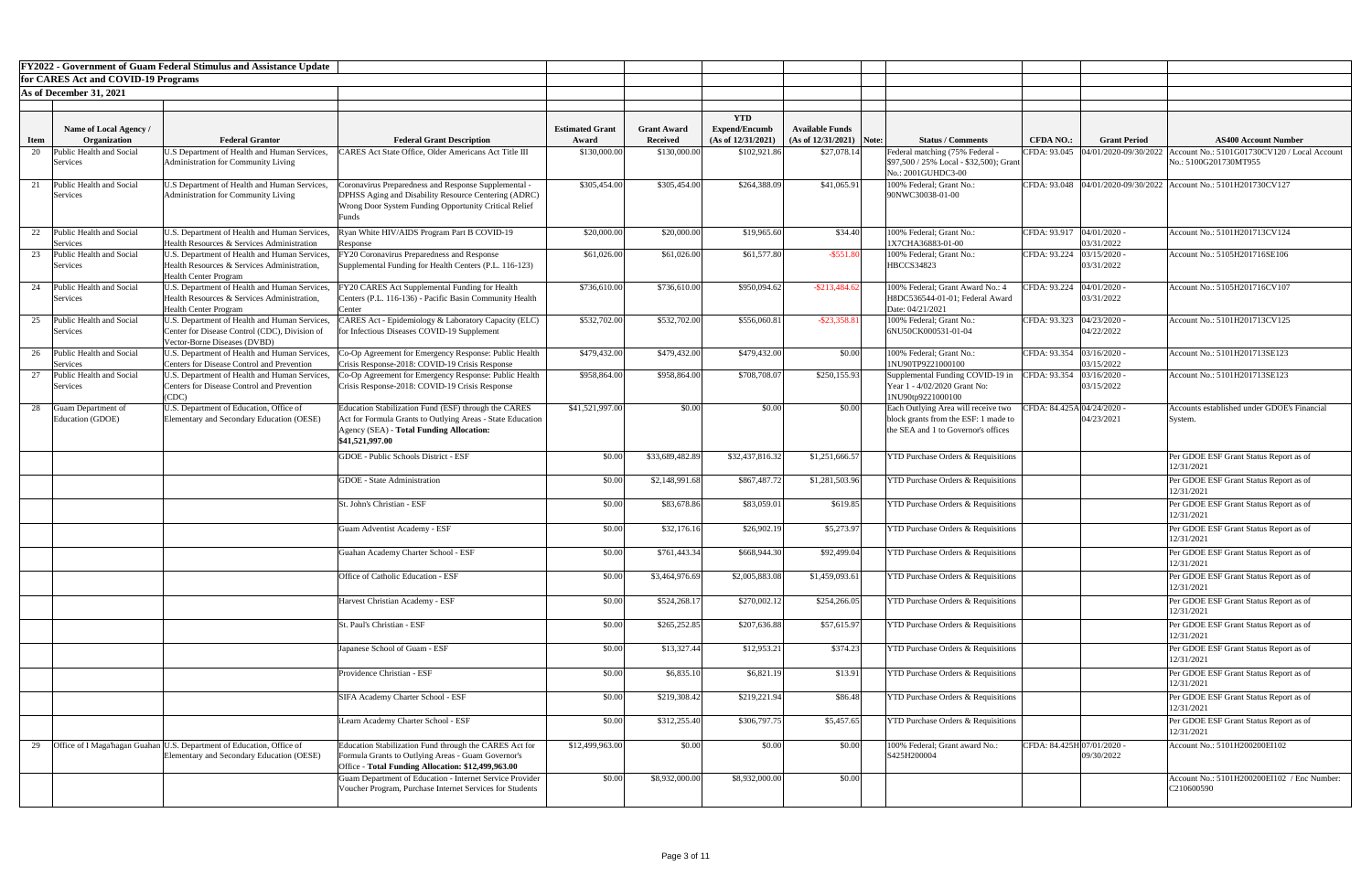|                                                     | <b>FY2022 - Government of Guam Federal Stimulus and Assistance Update</b>                                                      |                                                                                                                                                                                   |                        |                    |                                    |                            |                                                                                                                    |                            |                                     |                                                                       |
|-----------------------------------------------------|--------------------------------------------------------------------------------------------------------------------------------|-----------------------------------------------------------------------------------------------------------------------------------------------------------------------------------|------------------------|--------------------|------------------------------------|----------------------------|--------------------------------------------------------------------------------------------------------------------|----------------------------|-------------------------------------|-----------------------------------------------------------------------|
| for CARES Act and COVID-19 Programs                 |                                                                                                                                |                                                                                                                                                                                   |                        |                    |                                    |                            |                                                                                                                    |                            |                                     |                                                                       |
| As of December 31, 2021                             |                                                                                                                                |                                                                                                                                                                                   |                        |                    |                                    |                            |                                                                                                                    |                            |                                     |                                                                       |
|                                                     |                                                                                                                                |                                                                                                                                                                                   |                        |                    |                                    |                            |                                                                                                                    |                            |                                     |                                                                       |
| Name of Local Agency /                              |                                                                                                                                |                                                                                                                                                                                   | <b>Estimated Grant</b> | <b>Grant Award</b> | <b>YTD</b><br><b>Expend/Encumb</b> | <b>Available Funds</b>     |                                                                                                                    |                            |                                     |                                                                       |
| Organization<br><b>Item</b>                         | <b>Federal Grantor</b>                                                                                                         | <b>Federal Grant Description</b>                                                                                                                                                  | Award                  | <b>Received</b>    | (As of 12/31/2021)                 | $(As of 12/31/2021)$ Note: | <b>Status / Comments</b>                                                                                           | <b>CFDA NO.:</b>           | <b>Grant Period</b>                 | <b>AS400 Account Number</b>                                           |
| Public Health and Social<br>20<br>Services          | U.S Department of Health and Human Services,<br>Administration for Community Living                                            | 'ARES Act State Office, Older Americans Act Title III                                                                                                                             | \$130,000.00           | \$130,000.00       | \$102,921.86                       | \$27,078.14                | Federal matching (75% Federal<br>\$97,500 / 25% Local - \$32,500); Grant<br>No.: 2001GUHDC3-00                     |                            | CFDA: 93.045  04/01/2020-09/30/2022 | Account No.: 5101G01730CV120 / Local Account<br>No.: 5100G201730MT955 |
| Public Health and Social<br>Services                | U.S Department of Health and Human Services,<br>Administration for Community Living                                            | Coronavirus Preparedness and Response Supplemental -<br>DPHSS Aging and Disability Resource Centering (ADRC)<br>Wrong Door System Funding Opportunity Critical Relief<br>Funds    | \$305,454.00           | \$305,454.00       | \$264,388.09                       | \$41,065.9                 | 100% Federal; Grant No.:<br>90NWC30038-01-00                                                                       |                            |                                     | CFDA: 93.048  04/01/2020-09/30/2022   Account No.: 5101H201730CV127   |
| 22<br>Public Health and Social<br>Services          | U.S. Department of Health and Human Services,<br>Health Resources & Services Administration                                    | Ryan White HIV/AIDS Program Part B COVID-19<br>Response                                                                                                                           | \$20,000.00            | \$20,000.00        | \$19,965.60                        | \$34.40                    | 100% Federal; Grant No.:<br>1X7CHA36883-01-00                                                                      | CFDA: 93.917 04/01/2020 -  | 03/31/2022                          | Account No.: 5101H201713CV124                                         |
| Public Health and Social<br>Services                | U.S. Department of Health and Human Services,<br>Health Resources & Services Administration,<br><b>Health Center Program</b>   | FY20 Coronavirus Preparedness and Response<br>Supplemental Funding for Health Centers (P.L. 116-123)                                                                              | \$61,026.00            | \$61,026.00        | \$61,577.80                        | $-$ \$551.80               | 100% Federal; Grant No.:<br><b>HBCCS34823</b>                                                                      | CFDA: 93.224               | 03/15/2020<br>03/31/2022            | Account No.: 5105H201716SE106                                         |
| Public Health and Social<br>24<br>Services          | U.S. Department of Health and Human Services,<br>Health Resources & Services Administration,<br><b>Health Center Program</b>   | FY20 CARES Act Supplemental Funding for Health<br>Centers (P.L. 116-136) - Pacific Basin Community Health<br>Center                                                               | \$736,610.00           | \$736,610.00       | \$950,094.62                       | $-$ \$213,484.62           | 100% Federal; Grant Award No.: 4<br>H8DC536544-01-01; Federal Award<br>Date: 04/21/2021                            | CFDA: 93.224               | $04/01/2020$ .<br>03/31/2022        | Account No.: 5105H201716CV107                                         |
| Public Health and Social<br>25<br>Services          | U.S. Department of Health and Human Services,<br>Center for Disease Control (CDC), Division of<br>Vector-Borne Diseases (DVBD) | CARES Act - Epidemiology & Laboratory Capacity (ELC)<br>for Infectious Diseases COVID-19 Supplement                                                                               | \$532,702.00           | \$532,702.00       | \$556,060.81                       | $-$ \$23,358.8             | 100% Federal; Grant No.:<br>6NU50CK000531-01-04                                                                    | CFDA: 93.323               | 04/23/2020<br>04/22/2022            | Account No.: 5101H201713CV125                                         |
| 26 Public Health and Social<br>Services             | U.S. Department of Health and Human Services,<br>Centers for Disease Control and Prevention                                    | Co-Op Agreement for Emergency Response: Public Health<br>Crisis Response-2018: COVID-19 Crisis Response                                                                           | \$479,432.00           | \$479,432.00       | \$479,432.00                       | \$0.00                     | 100% Federal; Grant No.:<br>1NU90TP9221000100                                                                      | CFDA: 93.354 03/16/2020 -  | 03/15/2022                          | Account No.: 5101H201713SE123                                         |
| Public Health and Social<br>$\sim$<br>Services      | U.S. Department of Health and Human Services,<br><b>Centers for Disease Control and Prevention</b><br>(CDC)                    | Co-Op Agreement for Emergency Response: Public Health<br>Crisis Response-2018: COVID-19 Crisis Response                                                                           | \$958,864.00           | \$958,864.00       | \$708,708.07                       | \$250,155.93               | Supplemental Funding COVID-19 in CFDA: 93.354 03/16/2020 -<br>Year 1 - 4/02/2020 Grant No:<br>1NU90tp9221000100    |                            | 03/15/2022                          | Account No.: 5101H201713SE123                                         |
| 28<br><b>Guam Department of</b><br>Education (GDOE) | U.S. Department of Education, Office of<br>Elementary and Secondary Education (OESE)                                           | Education Stabilization Fund (ESF) through the CARES<br>Act for Formula Grants to Outlying Areas - State Education<br>Agency (SEA) - Total Funding Allocation:<br>\$41,521,997.00 | \$41,521,997.00        | \$0.00             | \$0.00                             | \$0.00                     | Each Outlying Area will receive two<br>block grants from the ESF: 1 made to<br>the SEA and 1 to Governor's offices | CFDA: 84.425A 04/24/2020 - | 04/23/2021                          | Accounts established under GDOE's Financial<br>System.                |
|                                                     |                                                                                                                                | <b>GDOE</b> - Public Schools District - ESF                                                                                                                                       | \$0.00                 | \$33,689,482.89    | \$32,437,816.32                    | \$1,251,666.57             | <b>YTD Purchase Orders &amp; Requisitions</b>                                                                      |                            |                                     | Per GDOE ESF Grant Status Report as of<br>12/31/2021                  |
|                                                     |                                                                                                                                | <b>GDOE</b> - State Administration                                                                                                                                                | \$0.00                 | \$2,148,991.68     | \$867,487.72                       | \$1,281,503.96             | <b>YTD Purchase Orders &amp; Requisitions</b>                                                                      |                            |                                     | Per GDOE ESF Grant Status Report as of<br>12/31/2021                  |
|                                                     |                                                                                                                                | St. John's Christian - ESF                                                                                                                                                        | \$0.00                 | \$83,678.86        | \$83,059.01                        | \$619.85                   | <b>YTD Purchase Orders &amp; Requisitions</b>                                                                      |                            |                                     | Per GDOE ESF Grant Status Report as of<br>12/31/2021                  |
|                                                     |                                                                                                                                | Guam Adventist Academy - ESF                                                                                                                                                      | \$0.00                 | \$32,176.16        | \$26,902.19                        | \$5,273.97                 | <b>YTD Purchase Orders &amp; Requisitions</b>                                                                      |                            |                                     | Per GDOE ESF Grant Status Report as of<br>12/31/2021                  |
|                                                     |                                                                                                                                | Guahan Academy Charter School - ESF                                                                                                                                               | \$0.00                 | \$761,443.34       | \$668,944.30                       | \$92,499.04                | <b>YTD Purchase Orders &amp; Requisitions</b>                                                                      |                            |                                     | Per GDOE ESF Grant Status Report as of<br>12/31/2021                  |
|                                                     |                                                                                                                                | Office of Catholic Education - ESF                                                                                                                                                | \$0.00                 | \$3,464,976.69     | \$2,005,883.08                     | \$1,459,093.61             | <b>YTD Purchase Orders &amp; Requisitions</b>                                                                      |                            |                                     | Per GDOE ESF Grant Status Report as of<br>12/31/2021                  |
|                                                     |                                                                                                                                | Harvest Christian Academy - ESF                                                                                                                                                   | \$0.00                 | \$524,268.1        | \$270,002.12                       | \$254,266.05               | <b>YTD Purchase Orders &amp; Requisitions</b>                                                                      |                            |                                     | Per GDOE ESF Grant Status Report as of<br>12/31/2021                  |
|                                                     |                                                                                                                                | St. Paul's Christian - ESF                                                                                                                                                        | \$0.00                 | \$265,252.85       | \$207,636.88                       | \$57,615.97                | <b>YTD Purchase Orders &amp; Requisitions</b>                                                                      |                            |                                     | Per GDOE ESF Grant Status Report as of<br>12/31/2021                  |
|                                                     |                                                                                                                                | Japanese School of Guam - ESF                                                                                                                                                     | \$0.00                 | \$13,327.44        | \$12,953.21                        | \$374.23                   | <b>YTD Purchase Orders &amp; Requisitions</b>                                                                      |                            |                                     | Per GDOE ESF Grant Status Report as of<br>12/31/2021                  |
|                                                     |                                                                                                                                | Providence Christian - ESF                                                                                                                                                        | \$0.00                 | \$6,835.1          | \$6,821.19                         | \$13.91                    | <b>YTD Purchase Orders &amp; Requisitions</b>                                                                      |                            |                                     | Per GDOE ESF Grant Status Report as of<br>12/31/2021                  |
|                                                     |                                                                                                                                | <b>SIFA Academy Charter School - ESF</b>                                                                                                                                          | \$0.00                 | \$219,308.42       | \$219,221.94                       | \$86.48                    | <b>YTD Purchase Orders &amp; Requisitions</b>                                                                      |                            |                                     | Per GDOE ESF Grant Status Report as of<br>12/31/2021                  |
|                                                     |                                                                                                                                | iLearn Academy Charter School - ESF                                                                                                                                               | \$0.00                 | \$312,255.40       | \$306,797.75                       | \$5,457.65                 | <b>YTD Purchase Orders &amp; Requisitions</b>                                                                      |                            |                                     | Per GDOE ESF Grant Status Report as of<br>12/31/2021                  |
| 29                                                  | Office of I Maga hagan Guahan U.S. Department of Education, Office of<br>Elementary and Secondary Education (OESE)             | Education Stabilization Fund through the CARES Act for<br>Formula Grants to Outlying Areas - Guam Governor's<br>Office - Total Funding Allocation: \$12,499,963.00                | \$12,499,963.00        | \$0.00             | \$0.00                             | \$0.00                     | 100% Federal; Grant award No.:<br>S425H200004                                                                      | CFDA: 84.425H 07/01/2020 - | 09/30/2022                          | Account No.: 5101H200200EI102                                         |
|                                                     |                                                                                                                                | Guam Department of Education - Internet Service Provider<br>Voucher Program, Purchase Internet Services for Students                                                              | \$0.00                 | \$8,932,000.00     | \$8,932,000.00                     | \$0.00                     |                                                                                                                    |                            |                                     | Account No.: 5101H200200EI102 / Enc Number:<br>C210600590             |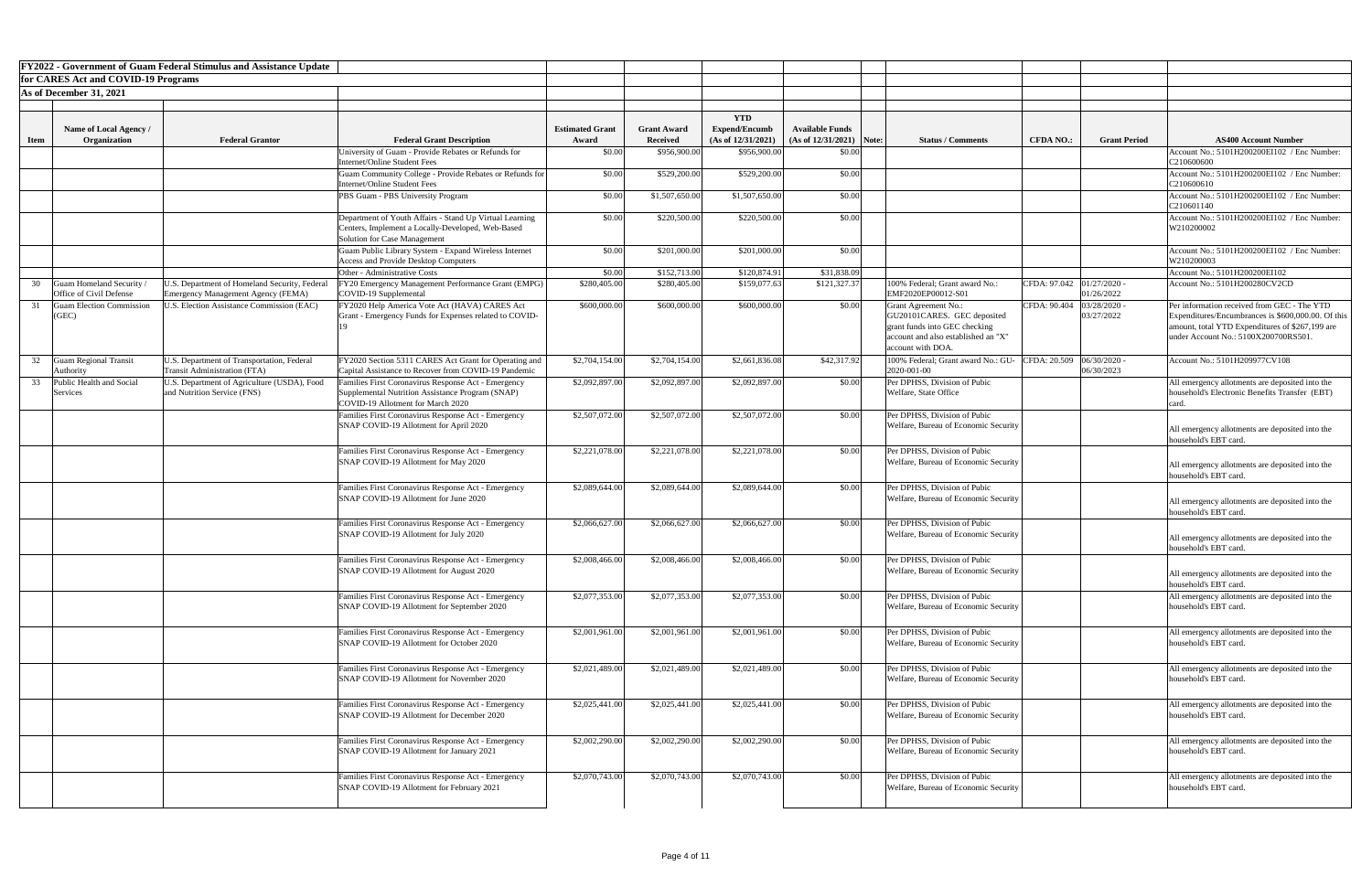|             |                                                            | <b>FY2022 - Government of Guam Federal Stimulus and Assistance Update</b>              |                                                                                                 |                                 |                                       |                                            |                                                      |                                                                      |                  |                          |                                                                          |
|-------------|------------------------------------------------------------|----------------------------------------------------------------------------------------|-------------------------------------------------------------------------------------------------|---------------------------------|---------------------------------------|--------------------------------------------|------------------------------------------------------|----------------------------------------------------------------------|------------------|--------------------------|--------------------------------------------------------------------------|
|             | for CARES Act and COVID-19 Programs                        |                                                                                        |                                                                                                 |                                 |                                       |                                            |                                                      |                                                                      |                  |                          |                                                                          |
|             | As of December 31, 2021                                    |                                                                                        |                                                                                                 |                                 |                                       |                                            |                                                      |                                                                      |                  |                          |                                                                          |
|             |                                                            |                                                                                        |                                                                                                 |                                 |                                       |                                            |                                                      |                                                                      |                  |                          |                                                                          |
|             |                                                            |                                                                                        |                                                                                                 |                                 |                                       | <b>YTD</b>                                 |                                                      |                                                                      |                  |                          |                                                                          |
| <b>Item</b> | Name of Local Agency /<br>Organization                     | <b>Federal Grantor</b>                                                                 | <b>Federal Grant Description</b>                                                                | <b>Estimated Grant</b><br>Award | <b>Grant Award</b><br><b>Received</b> | <b>Expend/Encumb</b><br>(As of 12/31/2021) | <b>Available Funds</b><br>$(As of 12/31/2021)$ Note: | <b>Status / Comments</b>                                             | <b>CFDA NO.:</b> | <b>Grant Period</b>      | <b>AS400 Account Number</b>                                              |
|             |                                                            |                                                                                        | University of Guam - Provide Rebates or Refunds for                                             | \$0.00                          | \$956,900.00                          | \$956,900.00                               | \$0.00                                               |                                                                      |                  |                          | Account No.: 5101H200200EI102 / Enc Number:                              |
|             |                                                            |                                                                                        | <b>Internet/Online Student Fees</b>                                                             |                                 |                                       |                                            |                                                      |                                                                      |                  |                          | C210600600                                                               |
|             |                                                            |                                                                                        | Guam Community College - Provide Rebates or Refunds for                                         | \$0.00                          | \$529,200.00                          | \$529,200.00                               | \$0.00                                               |                                                                      |                  |                          | Account No.: 5101H200200EI102 / Enc Number:                              |
|             |                                                            |                                                                                        | Internet/Online Student Fees                                                                    | \$0.00                          | \$1,507,650.00                        | \$1,507,650.00                             | \$0.00                                               |                                                                      |                  |                          | C210600610<br>Account No.: 5101H200200EI102 / Enc Number:                |
|             |                                                            |                                                                                        | PBS Guam - PBS University Program                                                               |                                 |                                       |                                            |                                                      |                                                                      |                  |                          | C210601140                                                               |
|             |                                                            |                                                                                        | Department of Youth Affairs - Stand Up Virtual Learning                                         | \$0.00                          | \$220,500.00                          | \$220,500.00                               | \$0.00                                               |                                                                      |                  |                          | Account No.: 5101H200200EI102 / Enc Number:                              |
|             |                                                            |                                                                                        | Centers, Implement a Locally-Developed, Web-Based                                               |                                 |                                       |                                            |                                                      |                                                                      |                  |                          | W210200002                                                               |
|             |                                                            |                                                                                        | Solution for Case Management<br>Guam Public Library System - Expand Wireless Internet           | \$0.00                          | \$201,000.00                          | \$201,000.00                               | \$0.00                                               |                                                                      |                  |                          | Account No.: 5101H200200EI102 / Enc Number:                              |
|             |                                                            |                                                                                        | <b>Access and Provide Desktop Computers</b>                                                     |                                 |                                       |                                            |                                                      |                                                                      |                  |                          | W210200003                                                               |
|             |                                                            |                                                                                        | Other - Administrative Costs                                                                    | \$0.00                          | \$152,713.00                          | \$120,874.91                               | \$31,838.09                                          |                                                                      |                  |                          | Account No.: 5101H200200EI102                                            |
| 30          | Guam Homeland Security                                     | J.S. Department of Homeland Security, Federal                                          | FY20 Emergency Management Performance Grant (EMPG)                                              | \$280,405.00                    | \$280,405.00                          | \$159,077.63                               | \$121,327.37                                         | 100% Federal; Grant award No.:                                       | CFDA: 97.042     | 01/27/2020               | Account No.: 5101H200280CV2CD                                            |
|             | Office of Civil Defense<br><b>Guam Election Commission</b> | Emergency Management Agency (FEMA)<br><b>J.S. Election Assistance Commission (EAC)</b> | COVID-19 Supplemental<br>FY2020 Help America Vote Act (HAVA) CARES Act                          | \$600,000.00                    | \$600,000.00                          | \$600,000.00                               | \$0.00                                               | EMF2020EP00012-S01<br><b>Grant Agreement No.:</b>                    | CFDA: 90.404     | 01/26/2022<br>03/28/2020 | Per information received from GEC - The YTD                              |
|             | (GEC)                                                      |                                                                                        | Grant - Emergency Funds for Expenses related to COVID-                                          |                                 |                                       |                                            |                                                      | GU20101CARES. GEC deposited                                          |                  | 03/27/2022               | Expenditures/Encumbrances is \$600,000.00. Of this                       |
|             |                                                            |                                                                                        |                                                                                                 |                                 |                                       |                                            |                                                      | grant funds into GEC checking                                        |                  |                          | amount, total YTD Expenditures of \$267,199 are                          |
|             |                                                            |                                                                                        |                                                                                                 |                                 |                                       |                                            |                                                      | account and also established an "X"<br>account with DOA.             |                  |                          | under Account No.: 5100X200700RS501                                      |
|             | <b>Guam Regional Transit</b>                               | U.S. Department of Transportation, Federal                                             | FY2020 Section 5311 CARES Act Grant for Operating and                                           | \$2,704,154.00                  | \$2,704,154.00                        | \$2,661,836.08                             | \$42,317.92                                          | 100% Federal; Grant award No.: GU-                                   | CFDA: 20.509     | 06/30/2020               | Account No.: 5101H209977CV108                                            |
|             | <b>Authority</b>                                           | <b>Transit Administration (FTA)</b>                                                    | Capital Assistance to Recover from COVID-19 Pandemic                                            |                                 |                                       |                                            |                                                      | 2020-001-00                                                          |                  | 06/30/2023               |                                                                          |
| 33          | Public Health and Social                                   | U.S. Department of Agriculture (USDA), Food                                            | Families First Coronavirus Response Act - Emergency                                             | \$2,092,897.00                  | \$2,092,897.00                        | \$2,092,897.00                             | \$0.00                                               | Per DPHSS, Division of Pubic                                         |                  |                          | All emergency allotments are deposited into the                          |
|             | Services                                                   | and Nutrition Service (FNS)                                                            | Supplemental Nutrition Assistance Program (SNAP)<br>COVID-19 Allotment for March 2020           |                                 |                                       |                                            |                                                      | Welfare, State Office                                                |                  |                          | household's Electronic Benefits Transfer (EBT)<br>card                   |
|             |                                                            |                                                                                        | Families First Coronavirus Response Act - Emergency                                             | \$2,507,072.00                  | \$2,507,072.00                        | \$2,507,072.00                             | \$0.00                                               | Per DPHSS, Division of Pubic                                         |                  |                          |                                                                          |
|             |                                                            |                                                                                        | SNAP COVID-19 Allotment for April 2020                                                          |                                 |                                       |                                            |                                                      | Welfare, Bureau of Economic Security                                 |                  |                          | All emergency allotments are deposited into the                          |
|             |                                                            |                                                                                        |                                                                                                 |                                 |                                       |                                            |                                                      |                                                                      |                  |                          | household's EBT card.                                                    |
|             |                                                            |                                                                                        | Families First Coronavirus Response Act - Emergency                                             | \$2,221,078.00                  | \$2,221,078.00                        | \$2,221,078.00                             | \$0.00                                               | Per DPHSS, Division of Pubic                                         |                  |                          |                                                                          |
|             |                                                            |                                                                                        | SNAP COVID-19 Allotment for May 2020                                                            |                                 |                                       |                                            |                                                      | Welfare, Bureau of Economic Security                                 |                  |                          | All emergency allotments are deposited into the                          |
|             |                                                            |                                                                                        | Families First Coronavirus Response Act - Emergency                                             | \$2,089,644.00                  | \$2,089,644.00                        | \$2,089,644.00                             | \$0.00                                               | Per DPHSS, Division of Pubic                                         |                  |                          | household's EBT card.                                                    |
|             |                                                            |                                                                                        | SNAP COVID-19 Allotment for June 2020                                                           |                                 |                                       |                                            |                                                      | Welfare, Bureau of Economic Security                                 |                  |                          | All emergency allotments are deposited into the                          |
|             |                                                            |                                                                                        |                                                                                                 |                                 |                                       |                                            |                                                      |                                                                      |                  |                          | household's EBT card.                                                    |
|             |                                                            |                                                                                        | Families First Coronavirus Response Act - Emergency                                             | \$2,066,627.00                  | \$2,066,627.00                        | \$2,066,627.00                             | \$0.00                                               | Per DPHSS, Division of Pubic                                         |                  |                          |                                                                          |
|             |                                                            |                                                                                        | SNAP COVID-19 Allotment for July 2020                                                           |                                 |                                       |                                            |                                                      | Welfare, Bureau of Economic Security                                 |                  |                          | All emergency allotments are deposited into the                          |
|             |                                                            |                                                                                        |                                                                                                 |                                 |                                       |                                            |                                                      |                                                                      |                  |                          | household's EBT card.                                                    |
|             |                                                            |                                                                                        | Families First Coronavirus Response Act - Emergency<br>SNAP COVID-19 Allotment for August 2020  | \$2,008,466.00                  | \$2,008,466.00                        | \$2,008,466.00                             | \$0.00                                               | Per DPHSS, Division of Pubic<br>Welfare, Bureau of Economic Security |                  |                          |                                                                          |
|             |                                                            |                                                                                        |                                                                                                 |                                 |                                       |                                            |                                                      |                                                                      |                  |                          | All emergency allotments are deposited into the<br>household's EBT card. |
|             |                                                            |                                                                                        | Families First Coronavirus Response Act - Emergency                                             | \$2,077,353.00                  | \$2,077,353.00                        | \$2,077,353.00                             | \$0.00                                               | Per DPHSS, Division of Pubic                                         |                  |                          | All emergency allotments are deposited into the                          |
|             |                                                            |                                                                                        | SNAP COVID-19 Allotment for September 2020                                                      |                                 |                                       |                                            |                                                      | Welfare, Bureau of Economic Security                                 |                  |                          | household's EBT card.                                                    |
|             |                                                            |                                                                                        |                                                                                                 |                                 |                                       |                                            |                                                      |                                                                      |                  |                          |                                                                          |
|             |                                                            |                                                                                        | Families First Coronavirus Response Act - Emergency                                             | \$2,001,961.00                  | \$2,001,961.00                        | \$2,001,961.00                             | \$0.00                                               | Per DPHSS, Division of Pubic                                         |                  |                          | All emergency allotments are deposited into the                          |
|             |                                                            |                                                                                        | SNAP COVID-19 Allotment for October 2020                                                        |                                 |                                       |                                            |                                                      | Welfare, Bureau of Economic Security                                 |                  |                          | household's EBT card.                                                    |
|             |                                                            |                                                                                        | Families First Coronavirus Response Act - Emergency                                             | \$2,021,489.00                  | \$2,021,489.00                        | \$2,021,489.00                             | \$0.00                                               | Per DPHSS, Division of Pubic                                         |                  |                          | All emergency allotments are deposited into the                          |
|             |                                                            |                                                                                        | SNAP COVID-19 Allotment for November 2020                                                       |                                 |                                       |                                            |                                                      | Welfare, Bureau of Economic Security                                 |                  |                          | household's EBT card.                                                    |
|             |                                                            |                                                                                        |                                                                                                 |                                 |                                       |                                            |                                                      |                                                                      |                  |                          |                                                                          |
|             |                                                            |                                                                                        | Families First Coronavirus Response Act - Emergency                                             | \$2,025,441.00                  | \$2,025,441.00                        | \$2,025,441.00                             | \$0.00                                               | Per DPHSS, Division of Pubic                                         |                  |                          | All emergency allotments are deposited into the                          |
|             |                                                            |                                                                                        | SNAP COVID-19 Allotment for December 2020                                                       |                                 |                                       |                                            |                                                      | Welfare, Bureau of Economic Security                                 |                  |                          | household's EBT card.                                                    |
|             |                                                            |                                                                                        |                                                                                                 |                                 |                                       |                                            |                                                      |                                                                      |                  |                          |                                                                          |
|             |                                                            |                                                                                        | Families First Coronavirus Response Act - Emergency<br>SNAP COVID-19 Allotment for January 2021 | \$2,002,290.00                  | \$2,002,290.00                        | \$2,002,290.00                             | \$0.00                                               | Per DPHSS, Division of Pubic<br>Welfare, Bureau of Economic Security |                  |                          | All emergency allotments are deposited into the<br>household's EBT card. |
|             |                                                            |                                                                                        |                                                                                                 |                                 |                                       |                                            |                                                      |                                                                      |                  |                          |                                                                          |
|             |                                                            |                                                                                        | Families First Coronavirus Response Act - Emergency                                             | \$2,070,743.00                  | \$2,070,743.00                        | \$2,070,743.00                             | \$0.00                                               | Per DPHSS, Division of Pubic                                         |                  |                          | All emergency allotments are deposited into the                          |
|             |                                                            |                                                                                        | SNAP COVID-19 Allotment for February 2021                                                       |                                 |                                       |                                            |                                                      | Welfare, Bureau of Economic Security                                 |                  |                          | household's EBT card.                                                    |
|             |                                                            |                                                                                        |                                                                                                 |                                 |                                       |                                            |                                                      |                                                                      |                  |                          |                                                                          |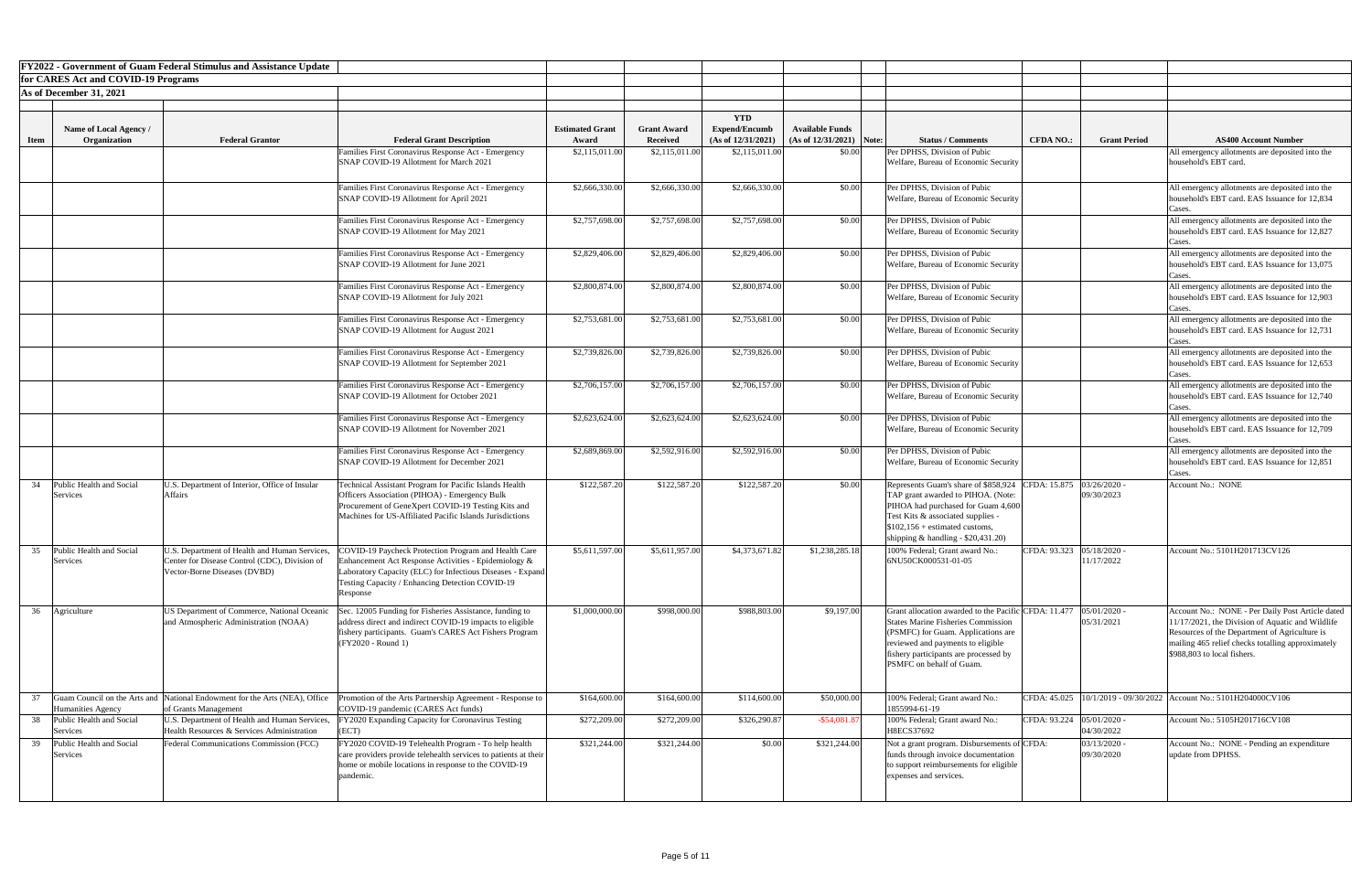|             |                                         | <b>FY2022 - Government of Guam Federal Stimulus and Assistance Update</b>                   |                                                                                                               |                        |                    |                                    |                            |                                                                      |                                         |                                                                          |
|-------------|-----------------------------------------|---------------------------------------------------------------------------------------------|---------------------------------------------------------------------------------------------------------------|------------------------|--------------------|------------------------------------|----------------------------|----------------------------------------------------------------------|-----------------------------------------|--------------------------------------------------------------------------|
|             | for CARES Act and COVID-19 Programs     |                                                                                             |                                                                                                               |                        |                    |                                    |                            |                                                                      |                                         |                                                                          |
|             | As of December 31, 2021                 |                                                                                             |                                                                                                               |                        |                    |                                    |                            |                                                                      |                                         |                                                                          |
|             |                                         |                                                                                             |                                                                                                               |                        |                    |                                    |                            |                                                                      |                                         |                                                                          |
|             | Name of Local Agency /                  |                                                                                             |                                                                                                               | <b>Estimated Grant</b> | <b>Grant Award</b> | <b>YTD</b><br><b>Expend/Encumb</b> | <b>Available Funds</b>     |                                                                      |                                         |                                                                          |
| <b>Item</b> | Organization                            | <b>Federal Grantor</b>                                                                      | <b>Federal Grant Description</b>                                                                              | Award                  | <b>Received</b>    | (As of 12/31/2021)                 | $(As of 12/31/2021)$ Note: | <b>Status / Comments</b><br><b>CFDA NO.:</b>                         | <b>Grant Period</b>                     | <b>AS400 Account Number</b>                                              |
|             |                                         |                                                                                             | Families First Coronavirus Response Act - Emergency<br>SNAP COVID-19 Allotment for March 2021                 | \$2,115,011.00         | \$2,115,011.00     | \$2,115,011.00                     | \$0.00                     | Per DPHSS, Division of Pubic<br>Welfare, Bureau of Economic Security |                                         | All emergency allotments are deposited into the<br>household's EBT card. |
|             |                                         |                                                                                             |                                                                                                               |                        |                    |                                    |                            |                                                                      |                                         |                                                                          |
|             |                                         |                                                                                             | Families First Coronavirus Response Act - Emergency                                                           | \$2,666,330.00         | \$2,666,330.00     | \$2,666,330.00                     | \$0.00                     | Per DPHSS, Division of Pubic                                         |                                         | All emergency allotments are deposited into the                          |
|             |                                         |                                                                                             | SNAP COVID-19 Allotment for April 2021                                                                        |                        |                    |                                    |                            | Welfare, Bureau of Economic Security                                 |                                         | household's EBT card. EAS Issuance for 12,834<br>cases.                  |
|             |                                         |                                                                                             | Families First Coronavirus Response Act - Emergency                                                           | \$2,757,698.00         | \$2,757,698.00     | \$2,757,698.00                     | \$0.00                     | Per DPHSS, Division of Pubic                                         |                                         | All emergency allotments are deposited into the                          |
|             |                                         |                                                                                             | SNAP COVID-19 Allotment for May 2021                                                                          |                        |                    |                                    |                            | Welfare, Bureau of Economic Security                                 |                                         | household's EBT card. EAS Issuance for 12,827<br>ases.                   |
|             |                                         |                                                                                             | Families First Coronavirus Response Act - Emergency                                                           | \$2,829,406.00         | \$2,829,406.00     | \$2,829,406.00                     | \$0.00                     | Per DPHSS, Division of Pubic                                         |                                         | All emergency allotments are deposited into the                          |
|             |                                         |                                                                                             | SNAP COVID-19 Allotment for June 2021                                                                         |                        |                    |                                    |                            | Welfare, Bureau of Economic Security                                 |                                         | household's EBT card. EAS Issuance for 13,075<br>'ases                   |
|             |                                         |                                                                                             | Families First Coronavirus Response Act - Emergency                                                           | \$2,800,874.00         | \$2,800,874.00     | \$2,800,874.00                     | \$0.00                     | Per DPHSS, Division of Pubic                                         |                                         | All emergency allotments are deposited into the                          |
|             |                                         |                                                                                             | SNAP COVID-19 Allotment for July 2021                                                                         |                        |                    |                                    |                            | Welfare, Bureau of Economic Security                                 |                                         | household's EBT card. EAS Issuance for 12,903<br>Cases.                  |
|             |                                         |                                                                                             | Families First Coronavirus Response Act - Emergency                                                           | \$2,753,681.00         | \$2,753,681.00     | \$2,753,681.00                     | \$0.00                     | Per DPHSS, Division of Pubic                                         |                                         | All emergency allotments are deposited into the                          |
|             |                                         |                                                                                             | SNAP COVID-19 Allotment for August 2021                                                                       |                        |                    |                                    |                            | Welfare, Bureau of Economic Security                                 |                                         | household's EBT card. EAS Issuance for 12,731<br>ases.                   |
|             |                                         |                                                                                             | Families First Coronavirus Response Act - Emergency                                                           | \$2,739,826.00         | \$2,739,826.00     | \$2,739,826.00                     | \$0.00                     | Per DPHSS, Division of Pubic                                         |                                         | All emergency allotments are deposited into the                          |
|             |                                         |                                                                                             | SNAP COVID-19 Allotment for September 2021                                                                    |                        |                    |                                    |                            | Welfare, Bureau of Economic Security                                 |                                         | household's EBT card. EAS Issuance for 12,653<br>Cases.                  |
|             |                                         |                                                                                             | Families First Coronavirus Response Act - Emergency                                                           | \$2,706,157.00         | \$2,706,157.00     | \$2,706,157.00                     | \$0.00                     | Per DPHSS, Division of Pubic                                         |                                         | All emergency allotments are deposited into the                          |
|             |                                         |                                                                                             | SNAP COVID-19 Allotment for October 2021                                                                      |                        |                    |                                    |                            | Welfare, Bureau of Economic Security                                 |                                         | household's EBT card. EAS Issuance for 12,740<br>ases.                   |
|             |                                         |                                                                                             | Families First Coronavirus Response Act - Emergency                                                           | \$2,623,624.00         | \$2,623,624.00     | \$2,623,624.00                     | \$0.00                     | Per DPHSS, Division of Pubic                                         |                                         | All emergency allotments are deposited into the                          |
|             |                                         |                                                                                             | SNAP COVID-19 Allotment for November 2021                                                                     |                        |                    |                                    |                            | Welfare, Bureau of Economic Security                                 |                                         | household's EBT card. EAS Issuance for 12,709<br>lases.                  |
|             |                                         |                                                                                             | Families First Coronavirus Response Act - Emergency                                                           | \$2,689,869.00         | \$2,592,916.00     | \$2,592,916.00                     | \$0.00                     | Per DPHSS, Division of Pubic                                         |                                         | All emergency allotments are deposited into the                          |
|             |                                         |                                                                                             | SNAP COVID-19 Allotment for December 2021                                                                     |                        |                    |                                    |                            | Welfare, Bureau of Economic Security                                 |                                         | household's EBT card. EAS Issuance for 12,851<br>Cases.                  |
| 34          | Public Health and Social                | U.S. Department of Interior, Office of Insular                                              | Technical Assistant Program for Pacific Islands Health                                                        | \$122,587.20           | \$122,587.20       | \$122,587.20                       | \$0.00                     | Represents Guam's share of \$858,924 CFDA: 15.875 03/26/2020 -       |                                         | Account No.: NONE                                                        |
|             | Services                                | <b>Affairs</b>                                                                              | <b>Officers Association (PIHOA) - Emergency Bulk</b>                                                          |                        |                    |                                    |                            | TAP grant awarded to PIHOA. (Note:                                   | 09/30/2023                              |                                                                          |
|             |                                         |                                                                                             | Procurement of GeneXpert COVID-19 Testing Kits and                                                            |                        |                    |                                    |                            | PIHOA had purchased for Guam 4,600                                   |                                         |                                                                          |
|             |                                         |                                                                                             | Machines for US-Affiliated Pacific Islands Jurisdictions                                                      |                        |                    |                                    |                            | Test Kits & associated supplies -<br>$$102,156 + estimated customs,$ |                                         |                                                                          |
|             |                                         |                                                                                             |                                                                                                               |                        |                    |                                    |                            | shipping $&$ handling - \$20,431.20)                                 |                                         |                                                                          |
| 35          | Public Health and Social                | U.S. Department of Health and Human Services,                                               | COVID-19 Paycheck Protection Program and Health Care                                                          | \$5,611,597.00         | \$5,611,957.00     | \$4,373,671.82                     | \$1,238,285.18             | 100% Federal; Grant award No.:<br>CFDA: 93.323                       | 05/18/2020                              | Account No.: 5101H201713CV126                                            |
|             | Services                                | Center for Disease Control (CDC), Division of                                               | Enhancement Act Response Activities - Epidemiology &                                                          |                        |                    |                                    |                            | 6NU50CK000531-01-05                                                  | 11/17/2022                              |                                                                          |
|             |                                         | Vector-Borne Diseases (DVBD)                                                                | Laboratory Capacity (ELC) for Infectious Diseases - Expand<br>Testing Capacity / Enhancing Detection COVID-19 |                        |                    |                                    |                            |                                                                      |                                         |                                                                          |
|             |                                         |                                                                                             | Response                                                                                                      |                        |                    |                                    |                            |                                                                      |                                         |                                                                          |
| 36          | Agriculture                             | US Department of Commerce, National Oceanic                                                 | Sec. 12005 Funding for Fisheries Assistance, funding to                                                       | \$1,000,000.00         | \$998,000.00       | \$988,803.00                       | \$9,197.00                 | Grant allocation awarded to the Pacific CFDA: 11.477                 | 05/01/2020                              | Account No.: NONE - Per Daily Post Article dated                         |
|             |                                         | and Atmospheric Administration (NOAA)                                                       | address direct and indirect COVID-19 impacts to eligible                                                      |                        |                    |                                    |                            | <b>States Marine Fisheries Commission</b>                            | 05/31/2021                              | 11/17/2021, the Division of Aquatic and Wildlife                         |
|             |                                         |                                                                                             | fishery participants. Guam's CARES Act Fishers Program                                                        |                        |                    |                                    |                            | (PSMFC) for Guam. Applications are                                   |                                         | Resources of the Department of Agriculture is                            |
|             |                                         |                                                                                             | (FY2020 - Round 1)                                                                                            |                        |                    |                                    |                            | reviewed and payments to eligible                                    |                                         | mailing 465 relief checks totalling approximately                        |
|             |                                         |                                                                                             |                                                                                                               |                        |                    |                                    |                            | fishery participants are processed by<br>PSMFC on behalf of Guam.    |                                         | \$988,803 to local fishers.                                              |
|             |                                         |                                                                                             |                                                                                                               |                        |                    |                                    |                            |                                                                      |                                         |                                                                          |
|             |                                         | Guam Council on the Arts and National Endowment for the Arts (NEA), Office                  |                                                                                                               |                        | \$164,600.00       | \$114,600.00                       | \$50,000.00                | 100% Federal; Grant award No.:                                       |                                         | CFDA: 45.025   10/1/2019 - 09/30/2022   Account No.: 5101H204000CV106    |
|             | Humanities Agency                       | of Grants Management                                                                        | Promotion of the Arts Partnership Agreement - Response to<br>COVID-19 pandemic (CARES Act funds)              | \$164,600.00           |                    |                                    |                            | 1855994-61-19                                                        |                                         |                                                                          |
|             | 38 Public Health and Social<br>Services | U.S. Department of Health and Human Services,<br>Health Resources & Services Administration | FY2020 Expanding Capacity for Coronavirus Testing<br>(ECT)                                                    | \$272,209.00           | \$272,209.00       | \$326,290.87                       | $-$ \$54,081.8             | 100% Federal; Grant award No.:<br>H8ECS37692                         | CFDA: 93.224 05/01/2020 -<br>04/30/2022 | Account No.: 5105H201716CV108                                            |
| 39          | Public Health and Social                | Federal Communications Commission (FCC)                                                     | FY2020 COVID-19 Telehealth Program - To help health                                                           | \$321,244.00           | \$321,244.00       | \$0.00                             | \$321,244.00               | Not a grant program. Disbursements of CFDA:                          | 03/13/2020                              | Account No.: NONE - Pending an expenditure                               |
|             | Services                                |                                                                                             | care providers provide telehealth services to patients at their                                               |                        |                    |                                    |                            | funds through invoice documentation                                  | 09/30/2020                              | update from DPHSS.                                                       |
|             |                                         |                                                                                             | home or mobile locations in response to the COVID-19<br>pandemic.                                             |                        |                    |                                    |                            | to support reimbursements for eligible<br>expenses and services.     |                                         |                                                                          |
|             |                                         |                                                                                             |                                                                                                               |                        |                    |                                    |                            |                                                                      |                                         |                                                                          |
|             |                                         |                                                                                             |                                                                                                               |                        |                    |                                    |                            |                                                                      |                                         |                                                                          |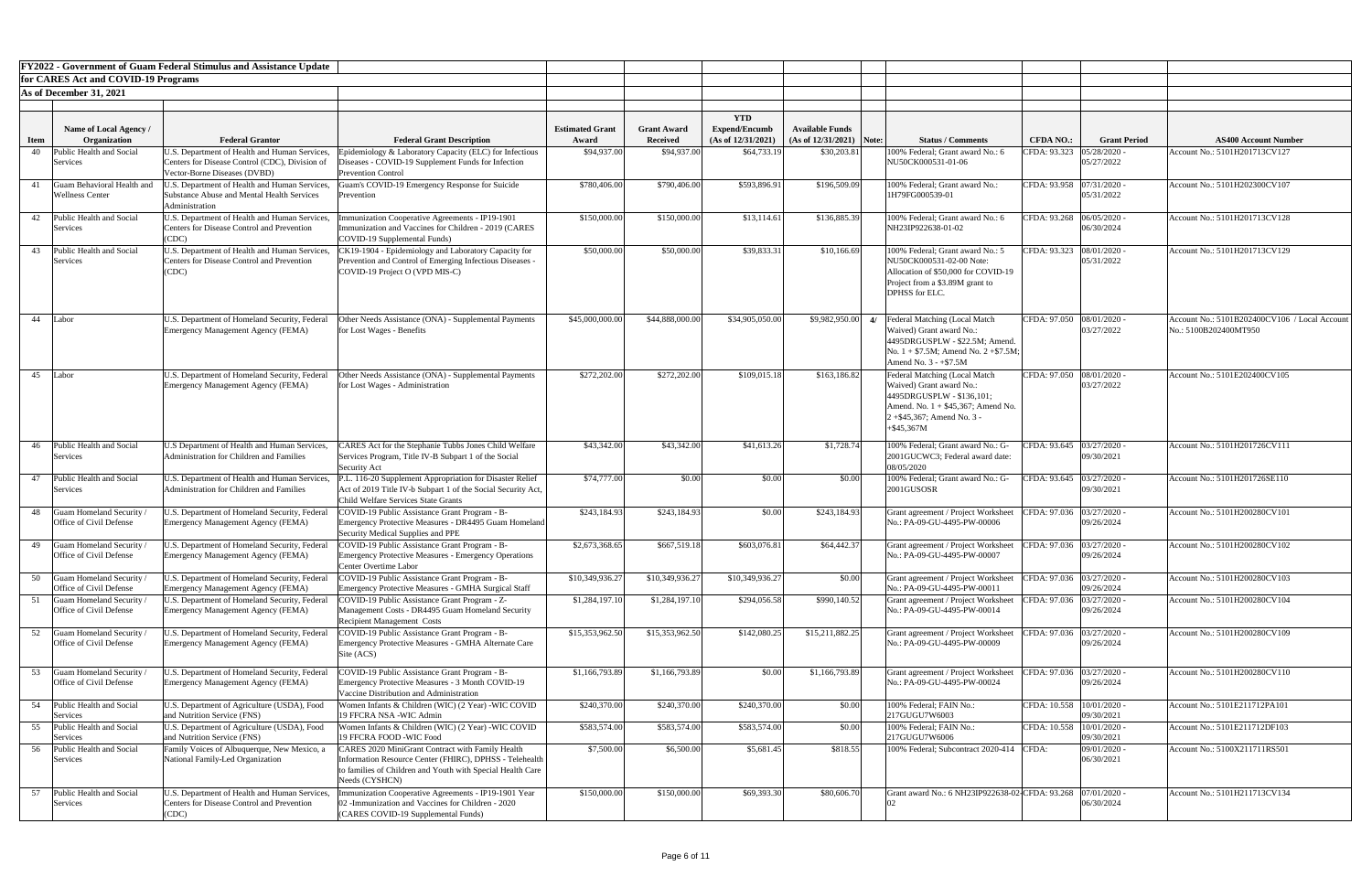|             |                                                            | <b>FY2022 - Government of Guam Federal Stimulus and Assistance Update</b>                                                       |                                                                                                                                                                                                    |                        |                    |                      |                            |                                                                                                                                                                                  |                             |                                           |                                                                        |
|-------------|------------------------------------------------------------|---------------------------------------------------------------------------------------------------------------------------------|----------------------------------------------------------------------------------------------------------------------------------------------------------------------------------------------------|------------------------|--------------------|----------------------|----------------------------|----------------------------------------------------------------------------------------------------------------------------------------------------------------------------------|-----------------------------|-------------------------------------------|------------------------------------------------------------------------|
|             | for CARES Act and COVID-19 Programs                        |                                                                                                                                 |                                                                                                                                                                                                    |                        |                    |                      |                            |                                                                                                                                                                                  |                             |                                           |                                                                        |
|             | As of December 31, 2021                                    |                                                                                                                                 |                                                                                                                                                                                                    |                        |                    |                      |                            |                                                                                                                                                                                  |                             |                                           |                                                                        |
|             |                                                            |                                                                                                                                 |                                                                                                                                                                                                    |                        |                    | <b>YTD</b>           |                            |                                                                                                                                                                                  |                             |                                           |                                                                        |
|             | Name of Local Agency /                                     |                                                                                                                                 |                                                                                                                                                                                                    | <b>Estimated Grant</b> | <b>Grant Award</b> | <b>Expend/Encumb</b> | <b>Available Funds</b>     |                                                                                                                                                                                  |                             |                                           |                                                                        |
| <b>Item</b> | Organization                                               | <b>Federal Grantor</b>                                                                                                          | <b>Federal Grant Description</b>                                                                                                                                                                   | Award                  | <b>Received</b>    | (As of 12/31/2021)   | $(As of 12/31/2021)$ Note: | <b>Status / Comments</b>                                                                                                                                                         | <b>CFDA NO.:</b>            | <b>Grant Period</b>                       | <b>AS400 Account Number</b>                                            |
| 40          | Public Health and Social<br>Services                       | U.S. Department of Health and Human Services,<br>Centers for Disease Control (CDC), Division of<br>Vector-Borne Diseases (DVBD) | Epidemiology & Laboratory Capacity (ELC) for Infectious<br>Diseases - COVID-19 Supplement Funds for Infection<br><b>Prevention Control</b>                                                         | \$94,937.00            | \$94,937.00        | \$64,733.19          | \$30,203.81                | 100% Federal; Grant award No.: 6<br>NU50CK000531-01-06                                                                                                                           | CFDA: 93.323                | 05/28/2020<br>05/27/2022                  | Account No.: 5101H201713CV127                                          |
|             | Guam Behavioral Health and<br><b>Wellness Center</b>       | U.S. Department of Health and Human Services,<br>Substance Abuse and Mental Health Services<br>Administration                   | Guam's COVID-19 Emergency Response for Suicide<br>Prevention                                                                                                                                       | \$780,406.00           | \$790,406.00       | \$593,896.91         | \$196,509.09               | 100% Federal; Grant award No.:<br>1H79FG000539-01                                                                                                                                | CFDA: 93.958 07/31/2020 -   | 05/31/2022                                | Account No.: 5101H202300CV107                                          |
| 42          | Public Health and Social<br>Services                       | U.S. Department of Health and Human Services,<br><b>Centers for Disease Control and Prevention</b><br>(CDC)                     | nmunization Cooperative Agreements - IP19-1901<br>mmunization and Vaccines for Children - 2019 (CARES<br>COVID-19 Supplemental Funds)                                                              | \$150,000.00           | \$150,000.00       | \$13,114.61          | \$136,885.39               | 100% Federal; Grant award No.: 6<br>NH23IP922638-01-02                                                                                                                           | CFDA: 93.268 06/05/2020 -   | 06/30/2024                                | Account No.: 5101H201713CV128                                          |
| 43          | Public Health and Social<br>Services                       | U.S. Department of Health and Human Services,<br><b>Centers for Disease Control and Prevention</b><br>(CDC)                     | CK19-1904 - Epidemiology and Laboratory Capacity for<br>Prevention and Control of Emerging Infectious Diseases -<br>COVID-19 Project O (VPD MIS-C)                                                 | \$50,000.00            | \$50,000.00        | \$39,833.31          | \$10,166.69                | 100% Federal; Grant award No.: 5<br>NU50CK000531-02-00 Note:<br>Allocation of \$50,000 for COVID-19<br>Project from a \$3.89M grant to<br><b>DPHSS</b> for ELC.                  | CFDA: 93.323  08/01/2020 -  | 05/31/2022                                | Account No.: 5101H201713CV129                                          |
|             | 44 Labor                                                   | U.S. Department of Homeland Security, Federal<br>Emergency Management Agency (FEMA)                                             | Other Needs Assistance (ONA) - Supplemental Payments<br>for Lost Wages - Benefits                                                                                                                  | \$45,000,000.00        | \$44,888,000.00    | \$34,905,050.00      | $$9,982,950.00$ 4/         | Federal Matching (Local Match<br>Waived) Grant award No.:<br>4495DRGUSPLW - \$22.5M; Amend.<br>No. $1 + $7.5M$ ; Amend No. $2 + $7.5M$ ;<br>Amend No. $3 - +\$7.5M$              | CFDA: 97.050 08/01/2020 -   | 03/27/2022                                | Account No.: 5101B202400CV106 / Local Account<br>No.: 5100B202400MT950 |
|             | 45 Labor                                                   | Emergency Management Agency (FEMA)                                                                                              | U.S. Department of Homeland Security, Federal   Other Needs Assistance (ONA) - Supplemental Payments<br>for Lost Wages - Administration                                                            | \$272,202.00           | \$272,202.00       | \$109,015.18         | \$163,186.82               | Federal Matching (Local Match<br>Waived) Grant award No.:<br>4495DRGUSPLW - \$136,101;<br>Amend. No. $1 + $45,367$ ; Amend No.<br>$2 + $45,367$ ; Amend No. 3 -<br>$+$ \$45,367M | CFDA: 97.050 08/01/2020 -   | 03/27/2022                                | Account No.: 5101E202400CV105                                          |
| 46          | Public Health and Social<br>Services                       | U.S Department of Health and Human Services,<br>Administration for Children and Families                                        | CARES Act for the Stephanie Tubbs Jones Child Welfare<br>Services Program, Title IV-B Subpart 1 of the Social<br>Security Act                                                                      | \$43,342.00            | \$43,342.00        | \$41,613.26          | \$1,728.74                 | 100% Federal; Grant award No.: G-<br>2001GUCWC3; Federal award date:<br>08/05/2020                                                                                               |                             | CFDA: 93.645   03/27/2020 -<br>09/30/2021 | Account No.: 5101H201726CV111                                          |
| 47          | Public Health and Social<br>Services                       | U.S. Department of Health and Human Services,<br>Administration for Children and Families                                       | P.L. 116-20 Supplement Appropriation for Disaster Relief<br>Act of 2019 Title IV-b Subpart 1 of the Social Security Act,<br>Child Welfare Services State Grants                                    | \$74,777.00            | \$0.00             | \$0.00               | \$0.00                     | 100% Federal; Grant award No.: G-<br>2001GUSOSR                                                                                                                                  | CFDA: 93.645 03/27/2020 -   | 09/30/2021                                | Account No.: 5101H201726SE110                                          |
| 48          | Guam Homeland Security /<br>Office of Civil Defense        | U.S. Department of Homeland Security, Federal<br>Emergency Management Agency (FEMA)                                             | COVID-19 Public Assistance Grant Program - B-<br>Emergency Protective Measures - DR4495 Guam Homeland<br>Security Medical Supplies and PPE                                                         | \$243,184.93           | \$243,184.93       | \$0.00               | \$243,184.93               | Grant agreement / Project Worksheet<br>No.: PA-09-GU-4495-PW-00006                                                                                                               | CFDA: 97.036 03/27/2020 -   | 09/26/2024                                | Account No.: 5101H200280CV101                                          |
| 49          | <b>Guam Homeland Security</b> /<br>Office of Civil Defense | J.S. Department of Homeland Security, Federal<br>Emergency Management Agency (FEMA)                                             | COVID-19 Public Assistance Grant Program - B-<br>Emergency Protective Measures - Emergency Operations<br><b>Center Overtime Labor</b>                                                              | \$2,673,368.65         | \$667,519.18       | \$603,076.81         | \$64,442.37                | Grant agreement / Project Worksheet<br>No.: PA-09-GU-4495-PW-00007                                                                                                               | CFDA: 97.036 03/27/2020 -   | 09/26/2024                                | Account No.: 5101H200280CV102                                          |
| 50          | Guam Homeland Security<br>Office of Civil Defense          | J.S. Department of Homeland Security, Federal<br>Emergency Management Agency (FEMA)                                             | COVID-19 Public Assistance Grant Program - B-<br><b>Emergency Protective Measures - GMHA Surgical Staff</b>                                                                                        | \$10,349,936.27        | \$10,349,936.27    | \$10,349,936.27      | \$0.00                     | Grant agreement / Project Worksheet<br>No.: PA-09-GU-4495-PW-00011                                                                                                               | CFDA: 97.036 03/27/2020 -   | 09/26/2024                                | Account No.: 5101H200280CV103                                          |
|             | Guam Homeland Security<br>Office of Civil Defense          | U.S. Department of Homeland Security, Federal<br>Emergency Management Agency (FEMA)                                             | COVID-19 Public Assistance Grant Program - Z-<br>Management Costs - DR4495 Guam Homeland Security<br><b>Recipient Management Costs</b>                                                             | \$1,284,197.10         | \$1,284,197.10     | \$294,056.58         | \$990,140.52               | Grant agreement / Project Worksheet<br>No.: PA-09-GU-4495-PW-00014                                                                                                               | CFDA: 97.036 03/27/2020     | 09/26/2024                                | Account No.: 5101H200280CV104                                          |
| 52          | Guam Homeland Security /<br>Office of Civil Defense        | J.S. Department of Homeland Security, Federal<br>Emergency Management Agency (FEMA)                                             | COVID-19 Public Assistance Grant Program - B-<br>Emergency Protective Measures - GMHA Alternate Care<br>Site (ACS)                                                                                 | \$15,353,962.50        | \$15,353,962.50    | \$142,080.25         | \$15,211,882.25            | Grant agreement / Project Worksheet<br>No.: PA-09-GU-4495-PW-00009                                                                                                               | CFDA: 97.036 03/27/2020 -   | 09/26/2024                                | Account No.: 5101H200280CV109                                          |
|             | Guam Homeland Security<br>Office of Civil Defense          | U.S. Department of Homeland Security, Federal<br>Emergency Management Agency (FEMA)                                             | COVID-19 Public Assistance Grant Program - B-<br>Emergency Protective Measures - 3 Month COVID-19<br>Vaccine Distribution and Administration                                                       | \$1,166,793.89         | \$1,166,793.89     | \$0.00               | \$1,166,793.89             | Grant agreement / Project Worksheet<br>No.: PA-09-GU-4495-PW-00024                                                                                                               | CFDA: 97.036 03/27/2020 -   | 09/26/2024                                | Account No.: 5101H200280CV110                                          |
|             | 54 Public Health and Social<br>Services                    | U.S. Department of Agriculture (USDA), Food<br>and Nutrition Service (FNS)                                                      | Women Infants & Children (WIC) (2 Year) -WIC COVID<br>19 FFCRA NSA -WIC Admin                                                                                                                      | \$240,370.00           | \$240,370.00       | \$240,370.00         | \$0.00                     | 100% Federal; FAIN No.:<br>217GUGU7W6003                                                                                                                                         | CFDA: 10.558   10/01/2020 - | 09/30/2021                                | Account No.: 5101E211712PA101                                          |
|             | 55 Public Health and Social<br>Services                    | U.S. Department of Agriculture (USDA), Food<br>and Nutrition Service (FNS)                                                      | Women Infants & Children (WIC) (2 Year) -WIC COVID<br>19 FFCRA FOOD -WIC Food                                                                                                                      | \$583,574.00           | \$583,574.00       | \$583,574.00         | \$0.00                     | 100% Federal; FAIN No.:<br>217GUGU7W6006                                                                                                                                         | CFDA: 10.558   10/01/2020 - | 09/30/2021                                | Account No.: 5101E211712DF103                                          |
| 56          | Public Health and Social<br>Services                       | Family Voices of Albuquerque, New Mexico, a<br>National Family-Led Organization                                                 | <b>CARES</b> 2020 MiniGrant Contract with Family Health<br>Information Resource Center (FHIRC), DPHSS - Telehealth<br>to families of Children and Youth with Special Health Care<br>Needs (CYSHCN) | \$7,500.00             | \$6,500.00         | \$5,681.45           | \$818.55                   | 100% Federal; Subcontract 2020-414 CFDA:                                                                                                                                         |                             | 09/01/2020 -<br>06/30/2021                | Account No.: 5100X211711RS501                                          |
|             | Public Health and Social<br>Services                       | U.S. Department of Health and Human Services,<br><b>Centers for Disease Control and Prevention</b><br>(CDC)                     | mmunization Cooperative Agreements - IP19-1901 Year<br>02 - Immunization and Vaccines for Children - 2020<br>(CARES COVID-19 Supplemental Funds)                                                   | \$150,000.00           | \$150,000.00       | \$69,393.30          | \$80,606.70                | Grant award No.: 6 NH23IP922638-02-CFDA: 93.268 [07/01/2020 -                                                                                                                    |                             | 06/30/2024                                | Account No.: 5101H211713CV134                                          |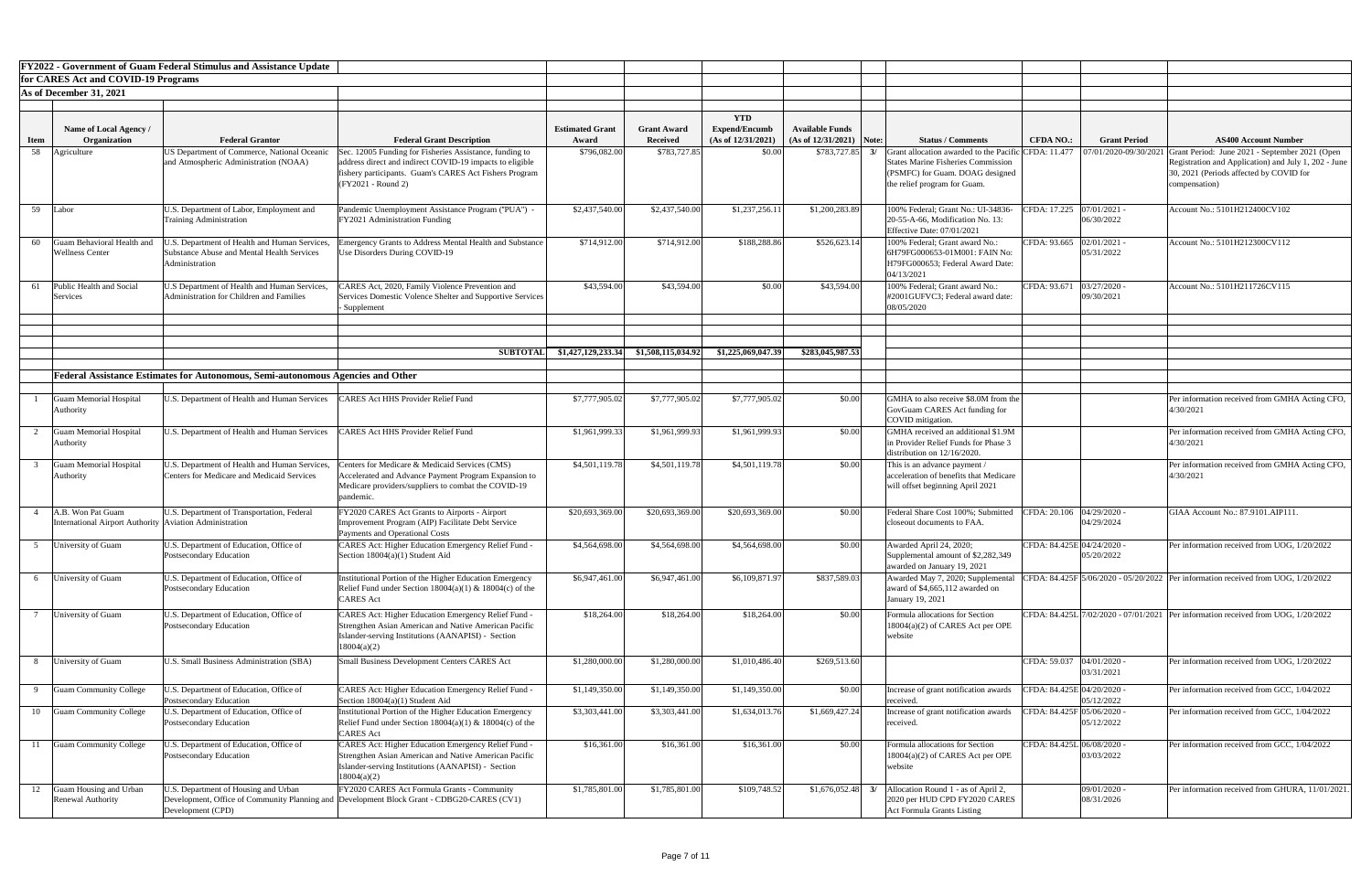|             |                                                                                | <b>FY2022 - Government of Guam Federal Stimulus and Assistance Update</b>                                    |                                                                                                                                                                                                     |                                 |                                       |                                                          |                                                       |                                                                                                                   |                                                                                      |                                                                                                                                                                    |
|-------------|--------------------------------------------------------------------------------|--------------------------------------------------------------------------------------------------------------|-----------------------------------------------------------------------------------------------------------------------------------------------------------------------------------------------------|---------------------------------|---------------------------------------|----------------------------------------------------------|-------------------------------------------------------|-------------------------------------------------------------------------------------------------------------------|--------------------------------------------------------------------------------------|--------------------------------------------------------------------------------------------------------------------------------------------------------------------|
|             | for CARES Act and COVID-19 Programs                                            |                                                                                                              |                                                                                                                                                                                                     |                                 |                                       |                                                          |                                                       |                                                                                                                   |                                                                                      |                                                                                                                                                                    |
|             | As of December 31, 2021                                                        |                                                                                                              |                                                                                                                                                                                                     |                                 |                                       |                                                          |                                                       |                                                                                                                   |                                                                                      |                                                                                                                                                                    |
| <b>Item</b> | Name of Local Agency /<br>Organization                                         | <b>Federal Grantor</b>                                                                                       | <b>Federal Grant Description</b>                                                                                                                                                                    | <b>Estimated Grant</b><br>Award | <b>Grant Award</b><br><b>Received</b> | <b>YTD</b><br><b>Expend/Encumb</b><br>(As of 12/31/2021) | <b>Available Funds</b><br>(As of $12/31/2021$ ) Note: | <b>Status / Comments</b>                                                                                          | <b>Grant Period</b><br><b>CFDA NO.:</b>                                              | <b>AS400 Account Number</b>                                                                                                                                        |
| 58          | Agriculture                                                                    | US Department of Commerce, National Oceanic<br>and Atmospheric Administration (NOAA)                         | Sec. 12005 Funding for Fisheries Assistance, funding to<br>address direct and indirect COVID-19 impacts to eligible<br>fishery participants. Guam's CARES Act Fishers Program<br>(FY2021 - Round 2) | \$796,082.00                    | \$783,727.85                          | \$0.00                                                   | \$783,727.85                                          | <b>States Marine Fisheries Commission</b><br>(PSMFC) for Guam. DOAG designed<br>the relief program for Guam.      | <b>Grant allocation awarded to the Pacific CFDA: 11.477 </b>   07/01/2020-09/30/2021 | Grant Period: June 2021 - September 2021 (Open<br>Registration and Application) and July 1, 202 - June<br>30, 2021 (Periods affected by COVID for<br>compensation) |
|             | 59 Labor                                                                       | U.S. Department of Labor, Employment and<br><b>Training Administration</b>                                   | Pandemic Unemployment Assistance Program ("PUA") -<br>FY2021 Administration Funding                                                                                                                 | \$2,437,540.00                  | \$2,437,540.00                        | \$1,237,256.11                                           | \$1,200,283.89                                        | 100% Federal; Grant No.: UI-34836-<br>20-55-A-66, Modification No. 13:<br><b>Effective Date: 07/01/2021</b>       | CFDA: 17.225 07/01/2021 -<br>06/30/2022                                              | Account No.: 5101H212400CV102                                                                                                                                      |
| 60          | <b>Guam Behavioral Health and</b><br><b>Wellness Center</b>                    | .S. Department of Health and Human Services,<br>Substance Abuse and Mental Health Services<br>Administration | mergency Grants to Address Mental Health and Substance<br>Use Disorders During COVID-19                                                                                                             | \$714,912.00                    | \$714,912.00                          | \$188,288.86                                             | \$526,623.14                                          | 100% Federal; Grant award No.:<br>6H79FG000653-01M001: FAIN No:<br>H79FG000653; Federal Award Date:<br>04/13/2021 | CFDA: 93.665 02/01/2021 -<br>05/31/2022                                              | Account No.: 5101H212300CV112                                                                                                                                      |
| 61          | Public Health and Social<br>Services                                           | U.S Department of Health and Human Services,<br>Administration for Children and Families                     | CARES Act, 2020, Family Violence Prevention and<br>Services Domestic Volence Shelter and Supportive Services<br>- Supplement                                                                        | \$43,594.00                     | \$43,594.00                           | \$0.00                                                   | \$43,594.00                                           | 100% Federal; Grant award No.:<br>#2001GUFVC3; Federal award date:<br>08/05/2020                                  | $03/27/2020$ -<br>CFDA: 93.671<br>09/30/2021                                         | Account No.: 5101H211726CV115                                                                                                                                      |
|             |                                                                                |                                                                                                              | <b>SUBTOTAL</b>                                                                                                                                                                                     | \$1,427,129,233.34              | \$1,508,115,034.9                     | \$1,225,069,047.39                                       | \$283,045,987.53                                      |                                                                                                                   |                                                                                      |                                                                                                                                                                    |
|             |                                                                                |                                                                                                              |                                                                                                                                                                                                     |                                 |                                       |                                                          |                                                       |                                                                                                                   |                                                                                      |                                                                                                                                                                    |
|             |                                                                                | <b>Federal Assistance Estimates for Autonomous, Semi-autonomous Agencies and Other</b>                       |                                                                                                                                                                                                     |                                 |                                       |                                                          |                                                       |                                                                                                                   |                                                                                      |                                                                                                                                                                    |
|             | <b>Guam Memorial Hospital</b><br>Authority                                     | U.S. Department of Health and Human Services                                                                 | <b>LARES Act HHS Provider Relief Fund</b>                                                                                                                                                           | \$7,777,905.02                  | \$7,777,905.02                        | \$7,777,905.02                                           | \$0.00                                                | GMHA to also receive \$8.0M from the<br>GovGuam CARES Act funding for<br>COVID mitigation.                        |                                                                                      | Per information received from GMHA Acting CFO,<br>4/30/2021                                                                                                        |
|             | <b>Guam Memorial Hospital</b><br>Authority                                     | U.S. Department of Health and Human Services                                                                 | <b>ARES Act HHS Provider Relief Fund</b>                                                                                                                                                            | \$1,961,999.33                  | \$1,961,999.93                        | \$1,961,999.93                                           | \$0.00                                                | GMHA received an additional \$1.9M<br>in Provider Relief Funds for Phase 3<br>distribution on 12/16/2020.         |                                                                                      | Per information received from GMHA Acting CFO,<br>4/30/2021                                                                                                        |
|             | <b>Guam Memorial Hospital</b><br>Authority                                     | U.S. Department of Health and Human Services,<br><b>Centers for Medicare and Medicaid Services</b>           | enters for Medicare & Medicaid Services (CMS)<br>Accelerated and Advance Payment Program Expansion to<br>Medicare providers/suppliers to combat the COVID-19<br>pandemic.                           | \$4,501,119.78                  | \$4,501,119.78                        | \$4,501,119.78                                           | \$0.00                                                | This is an advance payment /<br>acceleration of benefits that Medicare<br>will offset beginning April 2021        |                                                                                      | Per information received from GMHA Acting CFO,<br>4/30/2021                                                                                                        |
|             | A.B. Won Pat Guam<br>International Airport Authority   Aviation Administration | U.S. Department of Transportation, Federal                                                                   | TY2020 CARES Act Grants to Airports - Airport<br>mprovement Program (AIP) Facilitate Debt Service<br><b>Payments and Operational Costs</b>                                                          | \$20,693,369.00                 | \$20,693,369.00                       | \$20,693,369.00                                          | \$0.00                                                | Federal Share Cost 100%; Submitted<br>closeout documents to FAA.                                                  | CFDA: 20.106 04/29/2020 -<br>04/29/2024                                              | GIAA Account No.: 87.9101.AIP111                                                                                                                                   |
|             | University of Guam                                                             | U.S. Department of Education, Office of<br>Postsecondary Education                                           | CARES Act: Higher Education Emergency Relief Fund -<br>Section $18004(a)(1)$ Student Aid                                                                                                            | \$4,564,698.00                  | \$4,564,698.00                        | \$4,564,698.00                                           | \$0.00                                                | Awarded April 24, 2020;<br>Supplemental amount of \$2,282,349<br>awarded on January 19, 2021                      | CFDA: 84.425E 04/24/2020 -<br>05/20/2022                                             | Per information received from UOG, 1/20/2022                                                                                                                       |
| 6           | University of Guam                                                             | U.S. Department of Education, Office of<br>Postsecondary Education                                           | Institutional Portion of the Higher Education Emergency<br>Relief Fund under Section $18004(a)(1)$ & $18004(c)$ of the<br><b>CARES</b> Act                                                          | \$6,947,461.00                  | \$6,947,461.00                        | \$6,109,871.97                                           | \$837,589.03                                          | Awarded May 7, 2020; Supplemental<br>laward of \$4,665,112 awarded on<br>January 19, 2021                         |                                                                                      | CFDA: 84.425F 5/06/2020 - 05/20/2022 Per information received from UOG, 1/20/2022                                                                                  |
|             | University of Guam                                                             | U.S. Department of Education, Office of<br>Postsecondary Education                                           | 'ARES Act: Higher Education Emergency Relief Fund -<br>Strengthen Asian American and Native American Pacific<br>Islander-serving Institutions (AANAPISI) - Section<br>18004(a)(2)                   | \$18,264.00                     | \$18,264.0                            | \$18,264.00                                              | \$0.00                                                | Formula allocations for Section<br>$18004(a)(2)$ of CARES Act per OPE<br>website                                  |                                                                                      | CFDA: 84.425L 7/02/2020 - 07/01/2021 Per information received from UOG, 1/20/2022                                                                                  |
|             | University of Guam                                                             | U.S. Small Business Administration (SBA)                                                                     | <b>Small Business Development Centers CARES Act</b>                                                                                                                                                 | \$1,280,000.00                  | \$1,280,000.0                         | \$1,010,486.40                                           | \$269,513.60                                          |                                                                                                                   | CFDA: 59.037<br>$04/01/2020$ -<br>03/31/2021                                         | Per information received from UOG, 1/20/2022                                                                                                                       |
| Q           | <b>Guam Community College</b>                                                  | U.S. Department of Education, Office of<br>Postsecondary Education                                           | CARES Act: Higher Education Emergency Relief Fund<br>Section $18004(a)(1)$ Student Aid                                                                                                              | \$1,149,350.00                  | \$1,149,350.00                        | \$1,149,350.00                                           | \$0.00                                                | Increase of grant notification awards<br>received.                                                                | CFDA: 84.425E 04/20/2020 -<br>05/12/2022                                             | Per information received from GCC, 1/04/2022                                                                                                                       |
| 10          | <b>Guam Community College</b>                                                  | U.S. Department of Education, Office of<br>Postsecondary Education                                           | <b>Institutional Portion of the Higher Education Emergency</b><br>Relief Fund under Section $18004(a)(1)$ & $18004(c)$ of the<br><b>CARES</b> Act                                                   | \$3,303,441.00                  | \$3,303,441.00                        | \$1,634,013.76                                           | \$1,669,427.24                                        | Increase of grant notification awards<br>received.                                                                | CFDA: 84.425F 05/06/2020 -<br>05/12/2022                                             | Per information received from GCC, 1/04/2022                                                                                                                       |
| 11          | <b>Guam Community College</b>                                                  | J.S. Department of Education, Office of<br>Postsecondary Education                                           | <b>CARES Act: Higher Education Emergency Relief Fund -</b><br>Strengthen Asian American and Native American Pacific<br>Islander-serving Institutions (AANAPISI) - Section<br>18004(a)(2)            | \$16,361.00                     | \$16,361.00                           | \$16,361.00                                              | \$0.00                                                | Formula allocations for Section<br>18004(a)(2) of CARES Act per OPE<br>website                                    | CFDA: 84.425L 06/08/2020 -<br>03/03/2022                                             | Per information received from GCC, 1/04/2022                                                                                                                       |
| 12          | Guam Housing and Urban<br>Renewal Authority                                    | U.S. Department of Housing and Urban<br>Development (CPD)                                                    | FY2020 CARES Act Formula Grants - Community<br>Development, Office of Community Planning and Development Block Grant - CDBG20-CARES (CV1)                                                           | \$1,785,801.00                  | \$1,785,801.00                        | \$109,748.52                                             | \$1,676,052.48                                        | Allocation Round 1 - as of April 2,<br>3/<br>2020 per HUD CPD FY2020 CARES<br><b>Act Formula Grants Listing</b>   | 09/01/2020 -<br>08/31/2026                                                           | Per information received from GHURA, 11/01/2021                                                                                                                    |

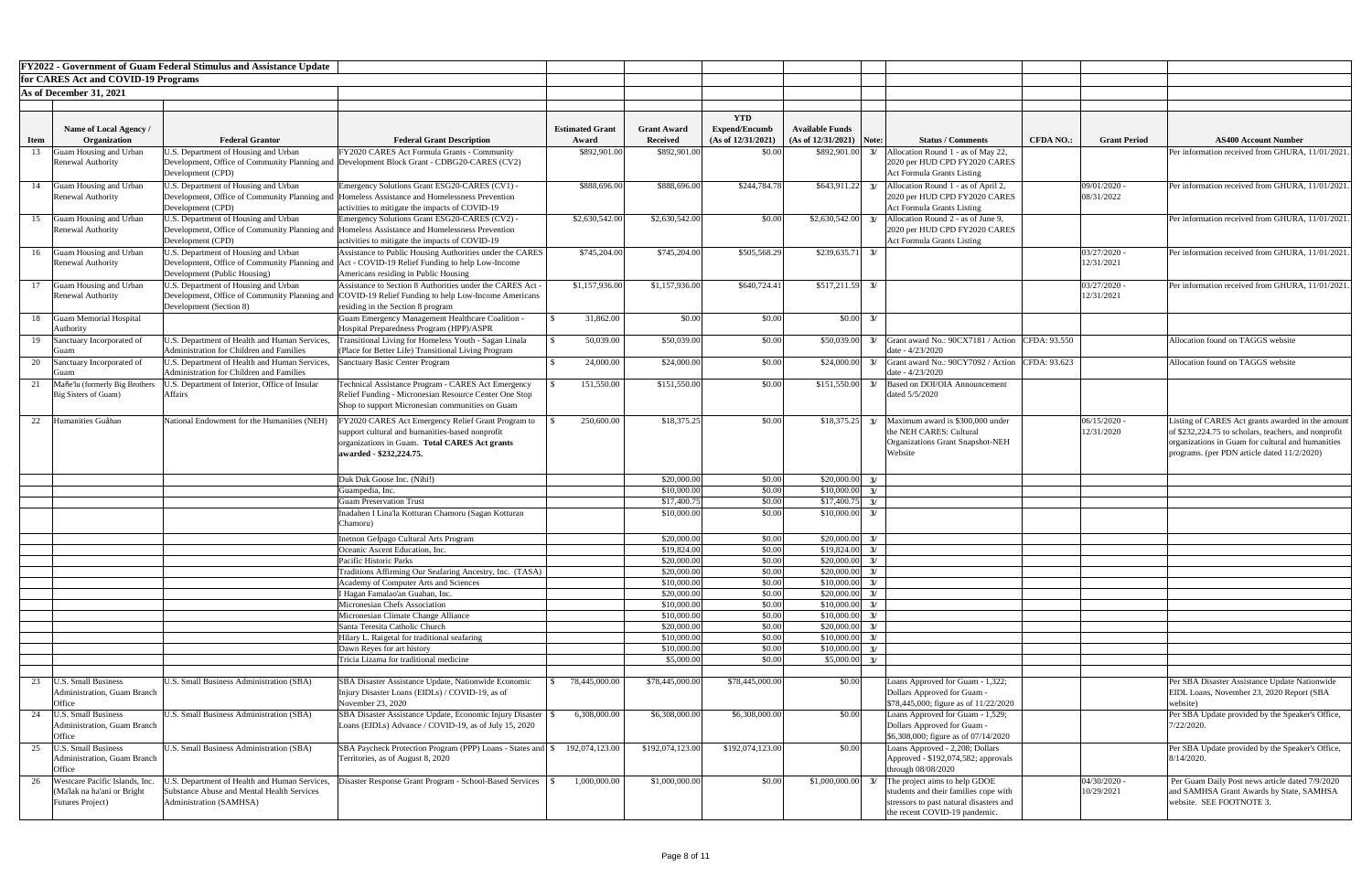| <b>FY2022 - Government of Guam Federal Stimulus and Assistance Update</b> |                                                                                           |                                                                                                                               |                                                                                                                                                                                   |                                 |                                       |                                                          |                                                      |                                                                                                                                                          |                  |                              |                                                                                                                                                                                                         |
|---------------------------------------------------------------------------|-------------------------------------------------------------------------------------------|-------------------------------------------------------------------------------------------------------------------------------|-----------------------------------------------------------------------------------------------------------------------------------------------------------------------------------|---------------------------------|---------------------------------------|----------------------------------------------------------|------------------------------------------------------|----------------------------------------------------------------------------------------------------------------------------------------------------------|------------------|------------------------------|---------------------------------------------------------------------------------------------------------------------------------------------------------------------------------------------------------|
|                                                                           | for CARES Act and COVID-19 Programs                                                       |                                                                                                                               |                                                                                                                                                                                   |                                 |                                       |                                                          |                                                      |                                                                                                                                                          |                  |                              |                                                                                                                                                                                                         |
|                                                                           | As of December 31, 2021                                                                   |                                                                                                                               |                                                                                                                                                                                   |                                 |                                       |                                                          |                                                      |                                                                                                                                                          |                  |                              |                                                                                                                                                                                                         |
|                                                                           |                                                                                           |                                                                                                                               |                                                                                                                                                                                   |                                 |                                       |                                                          |                                                      |                                                                                                                                                          |                  |                              |                                                                                                                                                                                                         |
| <b>Item</b>                                                               | <b>Name of Local Agency /</b><br>Organization                                             | <b>Federal Grantor</b>                                                                                                        | <b>Federal Grant Description</b>                                                                                                                                                  | <b>Estimated Grant</b><br>Award | <b>Grant Award</b><br><b>Received</b> | <b>YTD</b><br><b>Expend/Encumb</b><br>(As of 12/31/2021) | <b>Available Funds</b><br>$(As of 12/31/2021)$ Note: | <b>Status / Comments</b>                                                                                                                                 | <b>CFDA NO.:</b> | <b>Grant Period</b>          | <b>AS400 Account Number</b>                                                                                                                                                                             |
| 13                                                                        | Guam Housing and Urban                                                                    | J.S. Department of Housing and Urban                                                                                          | FY2020 CARES Act Formula Grants - Community                                                                                                                                       | \$892,901.00                    | \$892,901.00                          | \$0.00                                                   | \$892,901.00                                         | Allocation Round 1 - as of May 22,<br>3/                                                                                                                 |                  |                              | Per information received from GHURA, 11/01/20                                                                                                                                                           |
|                                                                           | <b>Renewal Authority</b>                                                                  | Development (CPD)                                                                                                             | Development, Office of Community Planning and Development Block Grant - CDBG20-CARES (CV2)                                                                                        |                                 |                                       |                                                          |                                                      | 2020 per HUD CPD FY2020 CARES<br><b>Act Formula Grants Listing</b>                                                                                       |                  |                              |                                                                                                                                                                                                         |
| 14                                                                        | Guam Housing and Urban                                                                    | J.S. Department of Housing and Urban                                                                                          | Emergency Solutions Grant ESG20-CARES (CV1) -                                                                                                                                     | \$888,696.00                    | \$888,696.00                          | \$244,784.78                                             | \$643,911.22                                         | Allocation Round 1 - as of April 2,<br>3/                                                                                                                |                  | 09/01/2020 -                 | Per information received from GHURA, 11/01/20                                                                                                                                                           |
|                                                                           | <b>Renewal Authority</b>                                                                  | Development (CPD)                                                                                                             | Development, Office of Community Planning and Homeless Assistance and Homelessness Prevention<br>activities to mitigate the impacts of COVID-19                                   |                                 |                                       |                                                          |                                                      | 2020 per HUD CPD FY2020 CARES<br><b>Act Formula Grants Listing</b>                                                                                       |                  | 08/31/2022                   |                                                                                                                                                                                                         |
| 15                                                                        | Guam Housing and Urban                                                                    | U.S. Department of Housing and Urban                                                                                          | Emergency Solutions Grant ESG20-CARES (CV2) -                                                                                                                                     | \$2,630,542.00                  | \$2,630,542.00                        | \$0.00                                                   | \$2,630,542.00                                       | 3/<br>Allocation Round 2 - as of June 9.                                                                                                                 |                  |                              | Per information received from GHURA, 11/01/20                                                                                                                                                           |
|                                                                           | <b>Renewal Authority</b>                                                                  |                                                                                                                               | Development, Office of Community Planning and Homeless Assistance and Homelessness Prevention                                                                                     |                                 |                                       |                                                          |                                                      | 2020 per HUD CPD FY2020 CARES                                                                                                                            |                  |                              |                                                                                                                                                                                                         |
|                                                                           |                                                                                           | Development (CPD)                                                                                                             | activities to mitigate the impacts of COVID-19                                                                                                                                    |                                 |                                       |                                                          |                                                      | <b>Act Formula Grants Listing</b>                                                                                                                        |                  |                              |                                                                                                                                                                                                         |
|                                                                           | 16 Guam Housing and Urban<br><b>Renewal Authority</b>                                     | J.S. Department of Housing and Urban                                                                                          | Assistance to Public Housing Authorities under the CARES<br>Development, Office of Community Planning and Act - COVID-19 Relief Funding to help Low-Income                        | \$745,204.00                    | \$745,204.00                          | \$505,568.29                                             | \$239,635.71                                         | 3/                                                                                                                                                       |                  | $03/27/2020$ -<br>12/31/2021 | Per information received from GHURA, 11/01/20                                                                                                                                                           |
|                                                                           |                                                                                           | Development (Public Housing)                                                                                                  | Americans residing in Public Housing                                                                                                                                              |                                 |                                       |                                                          |                                                      |                                                                                                                                                          |                  |                              |                                                                                                                                                                                                         |
| 17                                                                        | Guam Housing and Urban                                                                    | U.S. Department of Housing and Urban                                                                                          | Assistance to Section 8 Authorities under the CARES Act -                                                                                                                         | \$1,157,936.00                  | \$1,157,936.00                        | \$640,724.41                                             | $$517,211.59$ 3/                                     |                                                                                                                                                          |                  | 03/27/2020 -                 | Per information received from GHURA, 11/01/20                                                                                                                                                           |
|                                                                           | <b>Renewal Authority</b>                                                                  | Development (Section 8)                                                                                                       | Development, Office of Community Planning and COVID-19 Relief Funding to help Low-Income Americans<br>residing in the Section 8 program                                           |                                 |                                       |                                                          |                                                      |                                                                                                                                                          |                  | 12/31/2021                   |                                                                                                                                                                                                         |
|                                                                           | 18 Guam Memorial Hospital                                                                 |                                                                                                                               | <b>Guam Emergency Management Healthcare Coalition -</b>                                                                                                                           | 31,862.00                       | \$0.00                                | \$0.00                                                   | $$0.00 \quad 3/$                                     |                                                                                                                                                          |                  |                              |                                                                                                                                                                                                         |
|                                                                           | <b>Authority</b>                                                                          |                                                                                                                               | Hospital Preparedness Program (HPP)/ASPR                                                                                                                                          |                                 |                                       |                                                          |                                                      |                                                                                                                                                          |                  |                              |                                                                                                                                                                                                         |
| 19                                                                        | Sanctuary Incorporated of                                                                 | J.S. Department of Health and Human Services,<br><b>Administration for Children and Families</b>                              | <b>Transitional Living for Homeless Youth - Sagan Linala</b><br>(Place for Better Life) Transitional Living Program                                                               | 50,039.00                       | \$50,039.00                           | \$0.00                                                   | \$50,039.00                                          | Grant award No.: 90CX7181 / Action CFDA: 93.550<br>3/<br>date - 4/23/2020                                                                                |                  |                              | Allocation found on TAGGS website                                                                                                                                                                       |
| 20                                                                        | Sanctuary Incorporated of                                                                 | J.S. Department of Health and Human Services,                                                                                 | Sanctuary Basic Center Program                                                                                                                                                    | 24,000.00                       | \$24,000.00                           | \$0.00                                                   | \$24,000.00                                          | Grant award No.: 90CY7092 / Action<br>3/                                                                                                                 | CFDA: 93.623     |                              | Allocation found on TAGGS website                                                                                                                                                                       |
|                                                                           |                                                                                           | <b>Administration for Children and Families</b>                                                                               |                                                                                                                                                                                   |                                 |                                       |                                                          |                                                      | date - $4/23/2020$                                                                                                                                       |                  |                              |                                                                                                                                                                                                         |
|                                                                           | Mañe'lu (formerly Big Brothers<br>Big Sisters of Guam)                                    | U.S. Department of Interior, Office of Insular<br>Affairs                                                                     | Technical Assistance Program - CARES Act Emergency<br>Relief Funding - Micronesian Resource Center One Stop<br>Shop to support Micronesian communities on Guam                    | 151,550.00                      | \$151,550.00                          | \$0.00                                                   | $$151,550.00$ 3/                                     | Based on DOI/OIA Announcement<br>dated 5/5/2020                                                                                                          |                  |                              |                                                                                                                                                                                                         |
|                                                                           | Humanities Guåhan                                                                         | National Endowment for the Humanities (NEH)                                                                                   | FY2020 CARES Act Emergency Relief Grant Program to<br>support cultural and humanities-based nonprofit<br>organizations in Guam. Total CARES Act grants<br>awarded - \$232,224.75. | 250,600.00                      | \$18,375.25                           | \$0.00                                                   |                                                      | $$18,375.25$ 3/ Maximum award is \$300,000 under<br>the NEH CARES: Cultural<br>Organizations Grant Snapshot-NEH<br>Website                               |                  | $06/15/2020$ -<br>12/31/2020 | Listing of CARES Act grants awarded in the amo<br>of \$232,224.75 to scholars, teachers, and nonprof<br>organizations in Guam for cultural and humanitie<br>programs. (per PDN article dated 11/2/2020) |
|                                                                           |                                                                                           |                                                                                                                               |                                                                                                                                                                                   |                                 |                                       |                                                          |                                                      |                                                                                                                                                          |                  |                              |                                                                                                                                                                                                         |
|                                                                           |                                                                                           |                                                                                                                               | Duk Duk Goose Inc. (Nihi!)<br>Guampedia, Inc.                                                                                                                                     |                                 | \$20,000.00<br>\$10,000.00            | \$0.00<br>\$0.00                                         | $$20,000.00$ 3/<br>$$10,000.00$ 3/                   |                                                                                                                                                          |                  |                              |                                                                                                                                                                                                         |
|                                                                           |                                                                                           |                                                                                                                               | <b>Guam Preservation Trust</b>                                                                                                                                                    |                                 | \$17,400.75                           | \$0.00                                                   | $$17,400.75$ 3/                                      |                                                                                                                                                          |                  |                              |                                                                                                                                                                                                         |
|                                                                           |                                                                                           |                                                                                                                               | Inadahen I Lina'la Kotturan Chamoru (Sagan Kotturan<br>Chamoru)                                                                                                                   |                                 | \$10,000.00                           | \$0.00                                                   | $$10,000.00$ 3/                                      |                                                                                                                                                          |                  |                              |                                                                                                                                                                                                         |
|                                                                           |                                                                                           |                                                                                                                               | Inetnon Gefpago Cultural Arts Program                                                                                                                                             |                                 | \$20,000.00                           | \$0.00                                                   | $$20,000.00$ 3/                                      |                                                                                                                                                          |                  |                              |                                                                                                                                                                                                         |
|                                                                           |                                                                                           |                                                                                                                               | Oceanic Ascent Education, Inc.<br>Pacific Historic Parks                                                                                                                          |                                 | \$19,824.00<br>\$20,000.00            | \$0.00<br>\$0.00                                         | $$19,824.00$ 3/<br>$$20,000.00$ 3/                   |                                                                                                                                                          |                  |                              |                                                                                                                                                                                                         |
|                                                                           |                                                                                           |                                                                                                                               | Traditions Affirming Our Seafaring Ancestry, Inc. (TASA)                                                                                                                          |                                 | \$20,000.00                           | \$0.00                                                   | $$20,000.00$ 3/                                      |                                                                                                                                                          |                  |                              |                                                                                                                                                                                                         |
|                                                                           |                                                                                           |                                                                                                                               | Academy of Computer Arts and Sciences                                                                                                                                             |                                 | \$10,000.00                           | \$0.00                                                   | $$10,000.00$ 3/                                      |                                                                                                                                                          |                  |                              |                                                                                                                                                                                                         |
|                                                                           |                                                                                           |                                                                                                                               | I Hagan Famalao'an Guahan, Inc.                                                                                                                                                   |                                 | \$20,000.00                           | \$0.00                                                   | $$20,000.00$ 3/                                      |                                                                                                                                                          |                  |                              |                                                                                                                                                                                                         |
|                                                                           |                                                                                           |                                                                                                                               | Micronesian Chefs Association<br>Micronesian Climate Change Alliance                                                                                                              |                                 | \$10,000.00<br>\$10,000.00            | \$0.00<br>\$0.00                                         | \$10,000.00<br>\$10,000.00                           | 3/<br>3/                                                                                                                                                 |                  |                              |                                                                                                                                                                                                         |
|                                                                           |                                                                                           |                                                                                                                               | Santa Teresita Catholic Church                                                                                                                                                    |                                 | \$20,000.00                           | \$0.00                                                   | \$20,000.00                                          | 3/                                                                                                                                                       |                  |                              |                                                                                                                                                                                                         |
|                                                                           |                                                                                           |                                                                                                                               | Hilary L. Raigetal for traditional seafaring                                                                                                                                      |                                 | \$10,000.00                           | \$0.00                                                   | \$10,000.00                                          | 3/                                                                                                                                                       |                  |                              |                                                                                                                                                                                                         |
|                                                                           |                                                                                           |                                                                                                                               | Dawn Reyes for art history<br>Tricia Lizama for traditional medicine                                                                                                              |                                 | \$10,000.00<br>\$5,000.00             | \$0.00<br>\$0.00                                         | \$10,000.00<br>\$5,000.00                            | 3/<br>$\frac{3}{2}$                                                                                                                                      |                  |                              |                                                                                                                                                                                                         |
|                                                                           |                                                                                           |                                                                                                                               |                                                                                                                                                                                   |                                 |                                       |                                                          |                                                      |                                                                                                                                                          |                  |                              |                                                                                                                                                                                                         |
|                                                                           | <b>U.S. Small Business</b><br>Administration, Guam Branch<br>Office                       | <b>U.S. Small Business Administration (SBA)</b>                                                                               | SBA Disaster Assistance Update, Nationwide Economic<br>Injury Disaster Loans (EIDLs) / COVID-19, as of<br>November $23, 2020$                                                     | 78,445,000.00                   | \$78,445,000.00                       | \$78,445,000.00                                          | \$0.00                                               | Loans Approved for Guam - 1,322;<br>Dollars Approved for Guam -<br>$\frac{1}{2}$ \$78,445,000; figure as of 11/22/2020                                   |                  |                              | Per SBA Disaster Assistance Update Nationwide<br>EIDL Loans, November 23, 2020 Report (SBA<br>website)                                                                                                  |
| 24                                                                        | <b>U.S. Small Business</b>                                                                | U.S. Small Business Administration (SBA)                                                                                      | SBA Disaster Assistance Update, Economic Injury Disaster                                                                                                                          | 6,308,000.00                    | \$6,308,000.00                        | \$6,308,000.00                                           | \$0.00                                               | Loans Approved for Guam - 1,529;                                                                                                                         |                  |                              | Per SBA Update provided by the Speaker's Office                                                                                                                                                         |
|                                                                           | Administration, Guam Branch<br>Office                                                     |                                                                                                                               | Loans (EIDLs) Advance / COVID-19, as of July 15, 2020                                                                                                                             |                                 |                                       |                                                          |                                                      | Dollars Approved for Guam -<br>\$6,308,000; figure as of 07/14/2020                                                                                      |                  |                              | 7/22/2020.                                                                                                                                                                                              |
| 25                                                                        | <b>U.S. Small Business</b><br>Administration, Guam Branch<br>Office                       | <b>U.S. Small Business Administration (SBA)</b>                                                                               | SBA Paycheck Protection Program (PPP) Loans - States and \\$<br>Territories, as of August 8, 2020                                                                                 | 192,074,123.00                  | \$192,074,123.00                      | \$192,074,123.00                                         | \$0.00                                               | Loans Approved - 2,208; Dollars<br>Approved - \$192,074,582; approvals<br>through $08/08/2020$                                                           |                  |                              | Per SBA Update provided by the Speaker's Office<br>$8/14/2020$ .                                                                                                                                        |
| 26                                                                        | Westcare Pacific Islands, Inc.<br>(Ma'lak na ha'ani or Bright<br><b>Futures Project</b> ) | J.S. Department of Health and Human Services,<br><b>Substance Abuse and Mental Health Services</b><br>Administration (SAMHSA) | Disaster Response Grant Program - School-Based Services                                                                                                                           | 1,000,000.00                    | \$1,000,000.00                        | \$0.00                                                   | \$1,000,000.00                                       | The project aims to help GDOE<br>3/<br>students and their families cope with<br>stressors to past natural disasters and<br>the recent COVID-19 pandemic. |                  | $04/30/2020$ -<br>10/29/2021 | Per Guam Daily Post news article dated 7/9/2020<br>and SAMHSA Grant Awards by State, SAMHSA<br>website. SEE FOOTNOTE 3.                                                                                 |

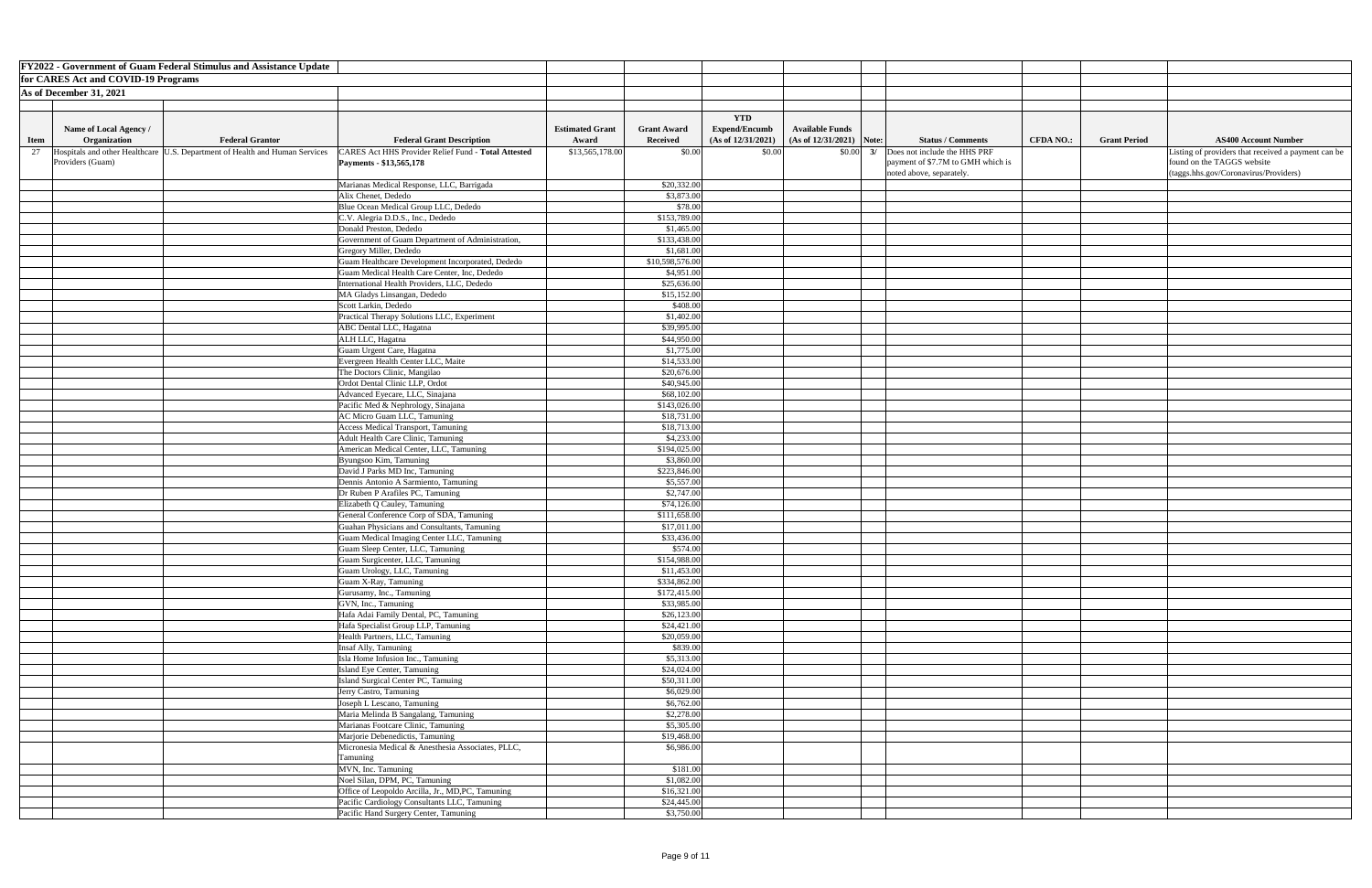| <b>FY2022 - Government of Guam Federal Stimulus and Assistance Update</b>                                                                                       |                                 |                                |                                            |                                                       |                                                                                               |                  |                     |                                                                                   |
|-----------------------------------------------------------------------------------------------------------------------------------------------------------------|---------------------------------|--------------------------------|--------------------------------------------|-------------------------------------------------------|-----------------------------------------------------------------------------------------------|------------------|---------------------|-----------------------------------------------------------------------------------|
| for CARES Act and COVID-19 Programs                                                                                                                             |                                 |                                |                                            |                                                       |                                                                                               |                  |                     |                                                                                   |
| As of December 31, 2021                                                                                                                                         |                                 |                                |                                            |                                                       |                                                                                               |                  |                     |                                                                                   |
|                                                                                                                                                                 |                                 |                                |                                            |                                                       |                                                                                               |                  |                     |                                                                                   |
|                                                                                                                                                                 |                                 |                                |                                            |                                                       |                                                                                               |                  |                     |                                                                                   |
|                                                                                                                                                                 |                                 |                                | <b>YTD</b>                                 |                                                       |                                                                                               |                  |                     |                                                                                   |
| Name of Local Agency /<br><b>Federal Grantor</b><br>Organization                                                                                                | <b>Estimated Grant</b><br>Award | <b>Grant Award</b><br>Received | <b>Expend/Encumb</b><br>(As of 12/31/2021) | <b>Available Funds</b><br>(As of $12/31/2021$ ) Note: | <b>Status / Comments</b>                                                                      | <b>CFDA NO.:</b> | <b>Grant Period</b> | <b>AS400 Account Number</b>                                                       |
| <b>Federal Grant Description</b><br><b>Item</b>                                                                                                                 |                                 |                                |                                            |                                                       |                                                                                               |                  |                     |                                                                                   |
| Hospitals and other Healthcare<br>CARES Act HHS Provider Relief Fund - Total Attested<br>U.S. Department of Health and Human Services<br>27<br>Providers (Guam) | \$13,565,178.00                 | \$0.00                         | \$0.00                                     |                                                       | $\vert 0.00 \vert \, 3/ \,$ Does not include the HHS PRF<br>payment of \$7.7M to GMH which is |                  |                     | Listing of providers that received a payment can be<br>found on the TAGGS website |
| Payments - \$13,565,178                                                                                                                                         |                                 |                                |                                            |                                                       | noted above, separately.                                                                      |                  |                     | (taggs.hhs.gov/Coronavirus/Providers)                                             |
| Marianas Medical Response, LLC, Barrigada                                                                                                                       |                                 | \$20,332.00                    |                                            |                                                       |                                                                                               |                  |                     |                                                                                   |
| Alix Chenet, Dededo                                                                                                                                             |                                 | \$3,873.00                     |                                            |                                                       |                                                                                               |                  |                     |                                                                                   |
| Blue Ocean Medical Group LLC, Dededo                                                                                                                            |                                 | \$78.00                        |                                            |                                                       |                                                                                               |                  |                     |                                                                                   |
| C.V. Alegria D.D.S., Inc., Dededo                                                                                                                               |                                 | \$153,789.00                   |                                            |                                                       |                                                                                               |                  |                     |                                                                                   |
| Donald Preston, Dededo                                                                                                                                          |                                 | \$1,465.00                     |                                            |                                                       |                                                                                               |                  |                     |                                                                                   |
| Government of Guam Department of Administration,                                                                                                                |                                 | \$133,438.00                   |                                            |                                                       |                                                                                               |                  |                     |                                                                                   |
| Gregory Miller, Dededo                                                                                                                                          |                                 | \$1,681.00                     |                                            |                                                       |                                                                                               |                  |                     |                                                                                   |
| Guam Healthcare Development Incorporated, Dededo                                                                                                                |                                 | \$10,598,576.00                |                                            |                                                       |                                                                                               |                  |                     |                                                                                   |
| Guam Medical Health Care Center, Inc, Dededo                                                                                                                    |                                 | \$4,951.00                     |                                            |                                                       |                                                                                               |                  |                     |                                                                                   |
| International Health Providers, LLC, Dededo                                                                                                                     |                                 | \$25,636.00                    |                                            |                                                       |                                                                                               |                  |                     |                                                                                   |
| MA Gladys Linsangan, Dededo                                                                                                                                     |                                 | \$15,152.00                    |                                            |                                                       |                                                                                               |                  |                     |                                                                                   |
| Scott Larkin, Dededo                                                                                                                                            |                                 | \$408.00                       |                                            |                                                       |                                                                                               |                  |                     |                                                                                   |
| Practical Therapy Solutions LLC, Experiment                                                                                                                     |                                 | \$1,402.00                     |                                            |                                                       |                                                                                               |                  |                     |                                                                                   |
| <b>ABC</b> Dental LLC, Hagatna                                                                                                                                  |                                 | \$39,995.00                    |                                            |                                                       |                                                                                               |                  |                     |                                                                                   |
| ALH LLC, Hagatna                                                                                                                                                |                                 | \$44,950.00                    |                                            |                                                       |                                                                                               |                  |                     |                                                                                   |
| Guam Urgent Care, Hagatna                                                                                                                                       |                                 | \$1,775.00                     |                                            |                                                       |                                                                                               |                  |                     |                                                                                   |
| Evergreen Health Center LLC, Maite                                                                                                                              |                                 | \$14,533.00                    |                                            |                                                       |                                                                                               |                  |                     |                                                                                   |
| The Doctors Clinic, Mangilao                                                                                                                                    |                                 | \$20,676.00                    |                                            |                                                       |                                                                                               |                  |                     |                                                                                   |
| Ordot Dental Clinic LLP, Ordot                                                                                                                                  |                                 | \$40,945.00                    |                                            |                                                       |                                                                                               |                  |                     |                                                                                   |
| Advanced Eyecare, LLC, Sinajana                                                                                                                                 |                                 | \$68,102.00                    |                                            |                                                       |                                                                                               |                  |                     |                                                                                   |
| Pacific Med & Nephrology, Sinajana                                                                                                                              |                                 | \$143,026.00                   |                                            |                                                       |                                                                                               |                  |                     |                                                                                   |
| AC Micro Guam LLC, Tamuning                                                                                                                                     |                                 | \$18,731.00                    |                                            |                                                       |                                                                                               |                  |                     |                                                                                   |
| <b>Access Medical Transport, Tamuning</b>                                                                                                                       |                                 | \$18,713.00                    |                                            |                                                       |                                                                                               |                  |                     |                                                                                   |
| Adult Health Care Clinic, Tamuning<br>American Medical Center, LLC, Tamuning                                                                                    |                                 | \$4,233.00<br>\$194,025.00     |                                            |                                                       |                                                                                               |                  |                     |                                                                                   |
| Byungsoo Kim, Tamuning                                                                                                                                          |                                 | \$3,860.00                     |                                            |                                                       |                                                                                               |                  |                     |                                                                                   |
| David J Parks MD Inc, Tamuning                                                                                                                                  |                                 | \$223,846.00                   |                                            |                                                       |                                                                                               |                  |                     |                                                                                   |
| Dennis Antonio A Sarmiento, Tamuning                                                                                                                            |                                 | \$5,557.00                     |                                            |                                                       |                                                                                               |                  |                     |                                                                                   |
| Dr Ruben P Arafiles PC, Tamuning                                                                                                                                |                                 | \$2,747.00                     |                                            |                                                       |                                                                                               |                  |                     |                                                                                   |
| Elizabeth Q Cauley, Tamuning                                                                                                                                    |                                 | \$74,126.00                    |                                            |                                                       |                                                                                               |                  |                     |                                                                                   |
| General Conference Corp of SDA, Tamuning                                                                                                                        |                                 | \$111,658.00                   |                                            |                                                       |                                                                                               |                  |                     |                                                                                   |
| Guahan Physicians and Consultants, Tamuning                                                                                                                     |                                 | \$17,011.00                    |                                            |                                                       |                                                                                               |                  |                     |                                                                                   |
| Guam Medical Imaging Center LLC, Tamuning                                                                                                                       |                                 | \$33,436.00                    |                                            |                                                       |                                                                                               |                  |                     |                                                                                   |
| Guam Sleep Center, LLC, Tamuning                                                                                                                                |                                 | \$574.00                       |                                            |                                                       |                                                                                               |                  |                     |                                                                                   |
| Guam Surgicenter, LLC, Tamuning                                                                                                                                 |                                 | \$154,988.00                   |                                            |                                                       |                                                                                               |                  |                     |                                                                                   |
| Guam Urology, LLC, Tamuning                                                                                                                                     |                                 | \$11,453.00                    |                                            |                                                       |                                                                                               |                  |                     |                                                                                   |
| Guam X-Ray, Tamuning                                                                                                                                            |                                 | \$334,862.00                   |                                            |                                                       |                                                                                               |                  |                     |                                                                                   |
| Gurusamy, Inc., Tamuning                                                                                                                                        |                                 | \$172,415.00                   |                                            |                                                       |                                                                                               |                  |                     |                                                                                   |
| GVN, Inc., Tamuning                                                                                                                                             |                                 | \$33,985.00                    |                                            |                                                       |                                                                                               |                  |                     |                                                                                   |
| Hafa Adai Family Dental, PC, Tamuning                                                                                                                           |                                 | \$26,123.00                    |                                            |                                                       |                                                                                               |                  |                     |                                                                                   |
| Hafa Specialist Group LLP, Tamuning                                                                                                                             |                                 | \$24,421.00                    |                                            |                                                       |                                                                                               |                  |                     |                                                                                   |
| Health Partners, LLC, Tamuning                                                                                                                                  |                                 | \$20,059.00                    |                                            |                                                       |                                                                                               |                  |                     |                                                                                   |
| Insaf Ally, Tamuning                                                                                                                                            |                                 | \$839.00                       |                                            |                                                       |                                                                                               |                  |                     |                                                                                   |
| Isla Home Infusion Inc., Tamuning                                                                                                                               |                                 | \$5,313.00                     |                                            |                                                       |                                                                                               |                  |                     |                                                                                   |
| Island Eye Center, Tamuning                                                                                                                                     |                                 | \$24,024.00                    |                                            |                                                       |                                                                                               |                  |                     |                                                                                   |
| Island Surgical Center PC, Tamuing<br>Jerry Castro, Tamuning                                                                                                    |                                 | \$50,311.00<br>\$6,029.00      |                                            |                                                       |                                                                                               |                  |                     |                                                                                   |
| Joseph L Lescano, Tamuning                                                                                                                                      |                                 | \$6,762.00                     |                                            |                                                       |                                                                                               |                  |                     |                                                                                   |
| Maria Melinda B Sangalang, Tamuning                                                                                                                             |                                 | \$2,278.00                     |                                            |                                                       |                                                                                               |                  |                     |                                                                                   |
| Marianas Footcare Clinic, Tamuning                                                                                                                              |                                 | \$5,305.00                     |                                            |                                                       |                                                                                               |                  |                     |                                                                                   |
| Marjorie Debenedictis, Tamuning                                                                                                                                 |                                 | \$19,468.00                    |                                            |                                                       |                                                                                               |                  |                     |                                                                                   |
| Micronesia Medical & Anesthesia Associates, PLLC,                                                                                                               |                                 | \$6,986.00                     |                                            |                                                       |                                                                                               |                  |                     |                                                                                   |
| Tamuning                                                                                                                                                        |                                 |                                |                                            |                                                       |                                                                                               |                  |                     |                                                                                   |
| MVN, Inc. Tamuning                                                                                                                                              |                                 | \$181.00                       |                                            |                                                       |                                                                                               |                  |                     |                                                                                   |
| Noel Silan, DPM, PC, Tamuning                                                                                                                                   |                                 | \$1,082.00                     |                                            |                                                       |                                                                                               |                  |                     |                                                                                   |
| Office of Leopoldo Arcilla, Jr., MD,PC, Tamuning                                                                                                                |                                 | \$16,321.00                    |                                            |                                                       |                                                                                               |                  |                     |                                                                                   |
| Pacific Cardiology Consultants LLC, Tamuning                                                                                                                    |                                 | \$24,445.00                    |                                            |                                                       |                                                                                               |                  |                     |                                                                                   |
| Pacific Hand Surgery Center, Tamuning                                                                                                                           |                                 | \$3,750.00                     |                                            |                                                       |                                                                                               |                  |                     |                                                                                   |

| Number               |  |
|----------------------|--|
|                      |  |
| ved a payment can be |  |
|                      |  |
|                      |  |
| roviders)            |  |
|                      |  |
|                      |  |
|                      |  |
|                      |  |
|                      |  |
|                      |  |
|                      |  |
|                      |  |
|                      |  |
|                      |  |
|                      |  |
|                      |  |
|                      |  |
|                      |  |
|                      |  |
|                      |  |
|                      |  |
|                      |  |
|                      |  |
|                      |  |
|                      |  |
|                      |  |
|                      |  |
|                      |  |
|                      |  |
|                      |  |
|                      |  |
|                      |  |
|                      |  |
|                      |  |
|                      |  |
|                      |  |
|                      |  |
|                      |  |
|                      |  |
|                      |  |
|                      |  |
|                      |  |
|                      |  |
|                      |  |
|                      |  |
|                      |  |
|                      |  |
|                      |  |
|                      |  |
|                      |  |
|                      |  |
|                      |  |
|                      |  |
|                      |  |
|                      |  |
|                      |  |
|                      |  |
|                      |  |
|                      |  |
|                      |  |
|                      |  |
|                      |  |
|                      |  |
|                      |  |
|                      |  |
|                      |  |
|                      |  |
|                      |  |
|                      |  |
|                      |  |
|                      |  |
|                      |  |
|                      |  |
|                      |  |
|                      |  |
|                      |  |
|                      |  |
|                      |  |
|                      |  |
|                      |  |
|                      |  |
|                      |  |
|                      |  |
|                      |  |
|                      |  |
|                      |  |
|                      |  |
|                      |  |
|                      |  |
|                      |  |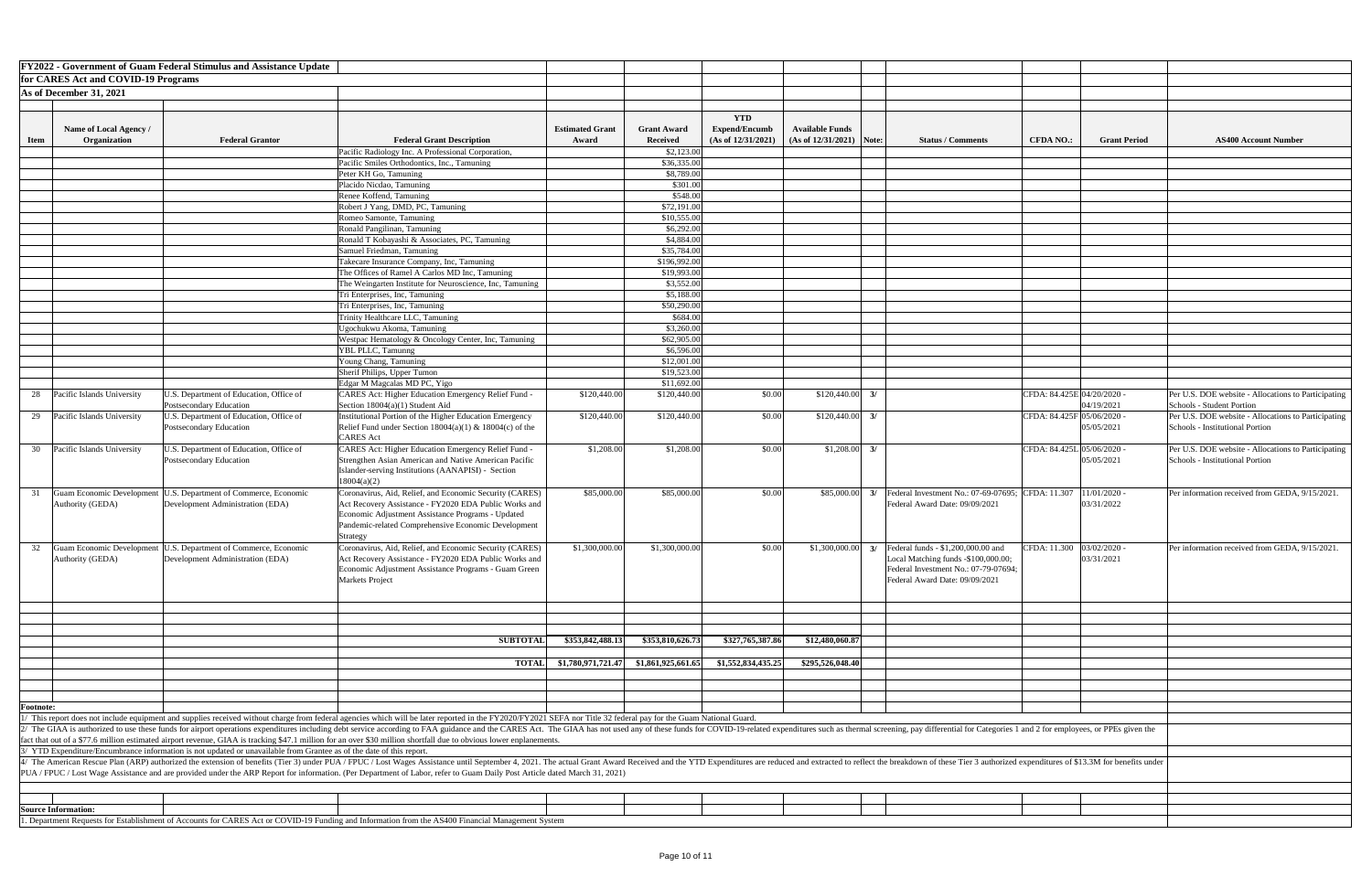|                                                    |                                                                        |                    | <b>YTD</b>           |                        |       |                                                                                                                                                                                                |                            |                              |                                                                            |
|----------------------------------------------------|------------------------------------------------------------------------|--------------------|----------------------|------------------------|-------|------------------------------------------------------------------------------------------------------------------------------------------------------------------------------------------------|----------------------------|------------------------------|----------------------------------------------------------------------------|
|                                                    | <b>Estimated Grant</b>                                                 | <b>Grant Award</b> | <b>Expend/Encumb</b> | <b>Available Funds</b> |       |                                                                                                                                                                                                |                            |                              |                                                                            |
|                                                    | Award                                                                  | <b>Received</b>    | (As of 12/31/2021)   | (As of 12/31/2021)     | Note: | <b>Status / Comments</b>                                                                                                                                                                       | <b>CFDA NO.:</b>           | <b>Grant Period</b>          | <b>AS400 Account Number</b>                                                |
| ion,                                               |                                                                        | \$2,123.00         |                      |                        |       |                                                                                                                                                                                                |                            |                              |                                                                            |
|                                                    |                                                                        | \$36,335.00        |                      |                        |       |                                                                                                                                                                                                |                            |                              |                                                                            |
|                                                    |                                                                        | \$8,789.00         |                      |                        |       |                                                                                                                                                                                                |                            |                              |                                                                            |
|                                                    |                                                                        | \$301.00           |                      |                        |       |                                                                                                                                                                                                |                            |                              |                                                                            |
|                                                    |                                                                        | \$548.00           |                      |                        |       |                                                                                                                                                                                                |                            |                              |                                                                            |
|                                                    |                                                                        | \$72,191.00        |                      |                        |       |                                                                                                                                                                                                |                            |                              |                                                                            |
|                                                    |                                                                        | \$10,555.00        |                      |                        |       |                                                                                                                                                                                                |                            |                              |                                                                            |
|                                                    |                                                                        | \$6,292.00         |                      |                        |       |                                                                                                                                                                                                |                            |                              |                                                                            |
| $\frac{\text{ing}}{\text{ing}}$                    |                                                                        | \$4,884.00         |                      |                        |       |                                                                                                                                                                                                |                            |                              |                                                                            |
|                                                    |                                                                        | \$35,784.00        |                      |                        |       |                                                                                                                                                                                                |                            |                              |                                                                            |
|                                                    |                                                                        | \$196,992.00       |                      |                        |       |                                                                                                                                                                                                |                            |                              |                                                                            |
| ing                                                |                                                                        | \$19,993.00        |                      |                        |       |                                                                                                                                                                                                |                            |                              |                                                                            |
| , Tamuning                                         |                                                                        | \$3,552.00         |                      |                        |       |                                                                                                                                                                                                |                            |                              |                                                                            |
|                                                    |                                                                        | \$5,188.00         |                      |                        |       |                                                                                                                                                                                                |                            |                              |                                                                            |
|                                                    |                                                                        | \$50,290.00        |                      |                        |       |                                                                                                                                                                                                |                            |                              |                                                                            |
|                                                    |                                                                        | \$684.00           |                      |                        |       |                                                                                                                                                                                                |                            |                              |                                                                            |
|                                                    |                                                                        | \$3,260.00         |                      |                        |       |                                                                                                                                                                                                |                            |                              |                                                                            |
| Tamuning                                           |                                                                        | \$62,905.00        |                      |                        |       |                                                                                                                                                                                                |                            |                              |                                                                            |
|                                                    |                                                                        | \$6,596.00         |                      |                        |       |                                                                                                                                                                                                |                            |                              |                                                                            |
|                                                    |                                                                        | \$12,001.00        |                      |                        |       |                                                                                                                                                                                                |                            |                              |                                                                            |
|                                                    |                                                                        | \$19,523.00        |                      |                        |       |                                                                                                                                                                                                |                            |                              |                                                                            |
|                                                    |                                                                        | \$11,692.00        |                      |                        |       |                                                                                                                                                                                                |                            |                              |                                                                            |
| ief Fund -                                         | \$120,440.00                                                           | \$120,440.00       | \$0.00               | \$120,440.00           | 3/    |                                                                                                                                                                                                | CFDA: 84.425E 04/20/2020 - | 04/19/2021                   | Per U.S. DOE website - Allocations to 1<br>Schools - Student Portion       |
| mergency<br>$4(c)$ of the                          | \$120,440.00                                                           | \$120,440.00       | \$0.00               | \$120,440.00           | 3/    |                                                                                                                                                                                                | CFDA: 84.425F 05/06/2020 - | 05/05/2021                   | Per U.S. DOE website - Allocations to 1<br>Schools - Institutional Portion |
| ief Fund -<br>an Pacific<br>ction                  | \$1,208.00                                                             | \$1,208.00         | \$0.00               | \$1,208.00             | 3/    |                                                                                                                                                                                                | CFDA: 84.425L 05/06/2020 - | 05/05/2021                   | Per U.S. DOE website - Allocations to 1<br>Schools - Institutional Portion |
| ty (CARES)<br>c Works and<br>Jpdated<br>evelopment | \$85,000.00                                                            | \$85,000.00        | \$0.00               | \$85,000.00            | 3/    | Federal Investment No.: 07-69-07695;<br>Federal Award Date: 09/09/2021                                                                                                                         | CFDA: 11.307               | $11/01/2020$ -<br>03/31/2022 | Per information received from GEDA,                                        |
| ty (CARES)<br>c Works and<br>Guam Green            | \$1,300,000.00                                                         | \$1,300,000.00     | \$0.00               | \$1,300,000.00         | 3/    | Federal funds - \$1,200,000.00 and<br>Local Matching funds -\$100,000.00;<br>Federal Investment No.: 07-79-07694;<br>Federal Award Date: 09/09/2021                                            | CFDA: 11.300               | $03/02/2020$ -<br>03/31/2021 | Per information received from GEDA,                                        |
|                                                    |                                                                        |                    |                      |                        |       |                                                                                                                                                                                                |                            |                              |                                                                            |
| <b>SUBTOTAL</b>                                    | \$353,842,488.13                                                       | \$353,810,626.73   | \$327,765,387.86     | \$12,480,060.87        |       |                                                                                                                                                                                                |                            |                              |                                                                            |
|                                                    |                                                                        |                    |                      |                        |       |                                                                                                                                                                                                |                            |                              |                                                                            |
| <b>TOTAL</b>                                       | \$1,780,971,721.47                                                     | \$1,861,925,661.65 | \$1,552,834,435.25   | \$295,526,048.40       |       |                                                                                                                                                                                                |                            |                              |                                                                            |
|                                                    |                                                                        |                    |                      |                        |       |                                                                                                                                                                                                |                            |                              |                                                                            |
|                                                    |                                                                        |                    |                      |                        |       |                                                                                                                                                                                                |                            |                              |                                                                            |
|                                                    |                                                                        |                    |                      |                        |       |                                                                                                                                                                                                |                            |                              |                                                                            |
|                                                    |                                                                        |                    |                      |                        |       |                                                                                                                                                                                                |                            |                              |                                                                            |
| ver enplanements.                                  | 2020/FY2021 SEFA nor Title 32 federal pay for the Guam National Guard. |                    |                      |                        |       | CARES Act. The GIAA has not used any of these funds for COVID-19-related expenditures such as thermal screening, pay differential for Categories 1 and 2 for employees, or PPEs given the      |                            |                              |                                                                            |
|                                                    | y Post Article dated March 31, 2021)                                   |                    |                      |                        |       | ber 4, 2021. The actual Grant Award Received and the YTD Expenditures are reduced and extracted to reflect the breakdown of these Tier 3 authorized expenditures of \$13.3M for benefits under |                            |                              |                                                                            |
|                                                    |                                                                        |                    |                      |                        |       |                                                                                                                                                                                                |                            |                              |                                                                            |
|                                                    |                                                                        |                    |                      |                        |       |                                                                                                                                                                                                |                            |                              |                                                                            |
|                                                    |                                                                        |                    |                      |                        |       |                                                                                                                                                                                                |                            |                              |                                                                            |
| ongoomant System                                   |                                                                        |                    |                      |                        |       |                                                                                                                                                                                                |                            |                              |                                                                            |

|                  |                                                             | <b>FY2022 - Government of Guam Federal Stimulus and Assistance Update</b>                                            |                                                                                                                                                                                                                                                                                                                                                                                                                                                                                                                                                                                                                           |                                 |                                       |                                                          |                                                      |               |                                                                                                                                                     |                  |                                          |                     |
|------------------|-------------------------------------------------------------|----------------------------------------------------------------------------------------------------------------------|---------------------------------------------------------------------------------------------------------------------------------------------------------------------------------------------------------------------------------------------------------------------------------------------------------------------------------------------------------------------------------------------------------------------------------------------------------------------------------------------------------------------------------------------------------------------------------------------------------------------------|---------------------------------|---------------------------------------|----------------------------------------------------------|------------------------------------------------------|---------------|-----------------------------------------------------------------------------------------------------------------------------------------------------|------------------|------------------------------------------|---------------------|
|                  | for CARES Act and COVID-19 Programs                         |                                                                                                                      |                                                                                                                                                                                                                                                                                                                                                                                                                                                                                                                                                                                                                           |                                 |                                       |                                                          |                                                      |               |                                                                                                                                                     |                  |                                          |                     |
|                  | As of December 31, 2021                                     |                                                                                                                      |                                                                                                                                                                                                                                                                                                                                                                                                                                                                                                                                                                                                                           |                                 |                                       |                                                          |                                                      |               |                                                                                                                                                     |                  |                                          |                     |
|                  |                                                             |                                                                                                                      |                                                                                                                                                                                                                                                                                                                                                                                                                                                                                                                                                                                                                           |                                 |                                       |                                                          |                                                      |               |                                                                                                                                                     |                  |                                          |                     |
| <b>Item</b>      | Name of Local Agency /<br>Organization                      | <b>Federal Grantor</b>                                                                                               | <b>Federal Grant Description</b>                                                                                                                                                                                                                                                                                                                                                                                                                                                                                                                                                                                          | <b>Estimated Grant</b><br>Award | <b>Grant Award</b><br><b>Received</b> | <b>YTD</b><br><b>Expend/Encumb</b><br>(As of 12/31/2021) | <b>Available Funds</b><br>$(As of 12/31/2021)$ Note: |               | <b>Status / Comments</b>                                                                                                                            | <b>CFDA NO.:</b> |                                          | <b>Grant Period</b> |
|                  |                                                             |                                                                                                                      | Pacific Radiology Inc. A Professional Corporation,                                                                                                                                                                                                                                                                                                                                                                                                                                                                                                                                                                        |                                 | \$2,123.00                            |                                                          |                                                      |               |                                                                                                                                                     |                  |                                          |                     |
|                  |                                                             |                                                                                                                      | Pacific Smiles Orthodontics, Inc., Tamuning                                                                                                                                                                                                                                                                                                                                                                                                                                                                                                                                                                               |                                 | \$36,335.00                           |                                                          |                                                      |               |                                                                                                                                                     |                  |                                          |                     |
|                  |                                                             |                                                                                                                      | Peter KH Go, Tamuning                                                                                                                                                                                                                                                                                                                                                                                                                                                                                                                                                                                                     |                                 | \$8,789.00                            |                                                          |                                                      |               |                                                                                                                                                     |                  |                                          |                     |
|                  |                                                             |                                                                                                                      | Placido Nicdao, Tamuning<br>Renee Koffend, Tamuning                                                                                                                                                                                                                                                                                                                                                                                                                                                                                                                                                                       |                                 | \$301.00<br>\$548.00                  |                                                          |                                                      |               |                                                                                                                                                     |                  |                                          |                     |
|                  |                                                             |                                                                                                                      | Robert J Yang, DMD, PC, Tamuning                                                                                                                                                                                                                                                                                                                                                                                                                                                                                                                                                                                          |                                 | \$72,191.00                           |                                                          |                                                      |               |                                                                                                                                                     |                  |                                          |                     |
|                  |                                                             |                                                                                                                      | Romeo Samonte, Tamuning                                                                                                                                                                                                                                                                                                                                                                                                                                                                                                                                                                                                   |                                 | \$10,555.00                           |                                                          |                                                      |               |                                                                                                                                                     |                  |                                          |                     |
|                  |                                                             |                                                                                                                      | Ronald Pangilinan, Tamuning                                                                                                                                                                                                                                                                                                                                                                                                                                                                                                                                                                                               |                                 | \$6,292.00                            |                                                          |                                                      |               |                                                                                                                                                     |                  |                                          |                     |
|                  |                                                             |                                                                                                                      | Ronald T Kobayashi & Associates, PC, Tamuning                                                                                                                                                                                                                                                                                                                                                                                                                                                                                                                                                                             |                                 | \$4,884.00                            |                                                          |                                                      |               |                                                                                                                                                     |                  |                                          |                     |
|                  |                                                             |                                                                                                                      | Samuel Friedman, Tamuning                                                                                                                                                                                                                                                                                                                                                                                                                                                                                                                                                                                                 |                                 | \$35,784.00                           |                                                          |                                                      |               |                                                                                                                                                     |                  |                                          |                     |
|                  |                                                             |                                                                                                                      | Takecare Insurance Company, Inc, Tamuning                                                                                                                                                                                                                                                                                                                                                                                                                                                                                                                                                                                 |                                 | \$196,992.00                          |                                                          |                                                      |               |                                                                                                                                                     |                  |                                          |                     |
|                  |                                                             |                                                                                                                      | The Offices of Ramel A Carlos MD Inc, Tamuning                                                                                                                                                                                                                                                                                                                                                                                                                                                                                                                                                                            |                                 | \$19,993.00                           |                                                          |                                                      |               |                                                                                                                                                     |                  |                                          |                     |
|                  |                                                             |                                                                                                                      | The Weingarten Institute for Neuroscience, Inc, Tamuning                                                                                                                                                                                                                                                                                                                                                                                                                                                                                                                                                                  |                                 | \$3,552.00                            |                                                          |                                                      |               |                                                                                                                                                     |                  |                                          |                     |
|                  |                                                             |                                                                                                                      | Tri Enterprises, Inc, Tamuning                                                                                                                                                                                                                                                                                                                                                                                                                                                                                                                                                                                            |                                 | \$5,188.00                            |                                                          |                                                      |               |                                                                                                                                                     |                  |                                          |                     |
|                  |                                                             |                                                                                                                      | Tri Enterprises, Inc, Tamuning                                                                                                                                                                                                                                                                                                                                                                                                                                                                                                                                                                                            |                                 | \$50,290.00<br>\$684.00               |                                                          |                                                      |               |                                                                                                                                                     |                  |                                          |                     |
|                  |                                                             |                                                                                                                      | Trinity Healthcare LLC, Tamuning<br>Ugochukwu Akoma, Tamuning                                                                                                                                                                                                                                                                                                                                                                                                                                                                                                                                                             |                                 | \$3,260.00                            |                                                          |                                                      |               |                                                                                                                                                     |                  |                                          |                     |
|                  |                                                             |                                                                                                                      | Westpac Hematology & Oncology Center, Inc, Tamuning                                                                                                                                                                                                                                                                                                                                                                                                                                                                                                                                                                       |                                 | \$62,905.00                           |                                                          |                                                      |               |                                                                                                                                                     |                  |                                          |                     |
|                  |                                                             |                                                                                                                      | YBL PLLC, Tamunng                                                                                                                                                                                                                                                                                                                                                                                                                                                                                                                                                                                                         |                                 | \$6,596.00                            |                                                          |                                                      |               |                                                                                                                                                     |                  |                                          |                     |
|                  |                                                             |                                                                                                                      | Young Chang, Tamuning                                                                                                                                                                                                                                                                                                                                                                                                                                                                                                                                                                                                     |                                 | \$12,001.00                           |                                                          |                                                      |               |                                                                                                                                                     |                  |                                          |                     |
|                  |                                                             |                                                                                                                      | Sherif Philips, Upper Tumon                                                                                                                                                                                                                                                                                                                                                                                                                                                                                                                                                                                               |                                 | \$19,523.00                           |                                                          |                                                      |               |                                                                                                                                                     |                  |                                          |                     |
|                  |                                                             |                                                                                                                      | Edgar M Magcalas MD PC, Yigo                                                                                                                                                                                                                                                                                                                                                                                                                                                                                                                                                                                              |                                 | \$11,692.00                           |                                                          |                                                      |               |                                                                                                                                                     |                  |                                          |                     |
| 28               | Pacific Islands University                                  | U.S. Department of Education, Office of<br>Postsecondary Education                                                   | CARES Act: Higher Education Emergency Relief Fund -<br>Section 18004(a)(1) Student Aid                                                                                                                                                                                                                                                                                                                                                                                                                                                                                                                                    | \$120,440.00                    | \$120,440.00                          | \$0.00                                                   | \$120,440.00                                         | 3/            |                                                                                                                                                     |                  | CFDA: 84.425E 04/20/2020 -<br>04/19/2021 |                     |
| 29               | Pacific Islands University                                  | U.S. Department of Education, Office of<br>Postsecondary Education                                                   | Institutional Portion of the Higher Education Emergency<br>Relief Fund under Section $18004(a)(1)$ & $18004(c)$ of the<br><b>CARES</b> Act                                                                                                                                                                                                                                                                                                                                                                                                                                                                                | \$120,440.00                    | \$120,440.00                          | \$0.00                                                   | \$120,440.00                                         | 3/            |                                                                                                                                                     |                  | CFDA: 84.425F 05/06/2020 -<br>05/05/2021 |                     |
| 30               | Pacific Islands University                                  | U.S. Department of Education, Office of<br>Postsecondary Education                                                   | CARES Act: Higher Education Emergency Relief Fund -<br>Strengthen Asian American and Native American Pacific<br>Islander-serving Institutions (AANAPISI) - Section<br>18004(a)(2)                                                                                                                                                                                                                                                                                                                                                                                                                                         | \$1,208.00                      | \$1,208.00                            | \$0.00                                                   | \$1,208.00                                           | 3/            |                                                                                                                                                     |                  | CFDA: 84.425L 05/06/2020 -<br>05/05/2021 |                     |
| 31               | <b>Guam Economic Development</b><br><b>Authority (GEDA)</b> | J.S. Department of Commerce, Economic<br>Development Administration (EDA)                                            | Coronavirus, Aid, Relief, and Economic Security (CARES)<br>Act Recovery Assistance - FY2020 EDA Public Works and<br>Economic Adjustment Assistance Programs - Updated<br>Pandemic-related Comprehensive Economic Development<br>Strategy                                                                                                                                                                                                                                                                                                                                                                                  | \$85,000.00                     | \$85,000.00                           | \$0.00                                                   | \$85,000.00                                          | 3/            | Federal Investment No.: 07-69-07695; CFDA: 11.307<br>Federal Award Date: 09/09/2021                                                                 |                  | $11/01/2020$ -<br>03/31/2022             |                     |
|                  | <b>Guam Economic Development</b><br>Authority (GEDA)        | J.S. Department of Commerce, Economic<br>Development Administration (EDA)                                            | Coronavirus, Aid, Relief, and Economic Security (CARES)<br>Act Recovery Assistance - FY2020 EDA Public Works and<br>Economic Adjustment Assistance Programs - Guam Green<br><b>Markets Project</b>                                                                                                                                                                                                                                                                                                                                                                                                                        | \$1,300,000.00                  | \$1,300,000.00                        | \$0.00                                                   | \$1,300,000.00                                       | $\frac{3}{2}$ | Federal funds - \$1,200,000.00 and<br>Local Matching funds -\$100,000.00;<br>Federal Investment No.: 07-79-07694;<br>Federal Award Date: 09/09/2021 |                  | CFDA: 11.300 03/02/2020 -<br>03/31/2021  |                     |
|                  |                                                             |                                                                                                                      |                                                                                                                                                                                                                                                                                                                                                                                                                                                                                                                                                                                                                           |                                 |                                       |                                                          |                                                      |               |                                                                                                                                                     |                  |                                          |                     |
|                  |                                                             |                                                                                                                      | <b>SUBTOTAl</b>                                                                                                                                                                                                                                                                                                                                                                                                                                                                                                                                                                                                           | \$353,842,488.13                | \$353,810,626.73                      | \$327,765,387.86                                         | \$12,480,060.87                                      |               |                                                                                                                                                     |                  |                                          |                     |
|                  |                                                             |                                                                                                                      | <b>TOTAL</b>                                                                                                                                                                                                                                                                                                                                                                                                                                                                                                                                                                                                              | \$1,780,971,721.47              | \$1,861,925,661.6                     | \$1,552,834,435.25                                       | \$295,526,048.40                                     |               |                                                                                                                                                     |                  |                                          |                     |
|                  |                                                             |                                                                                                                      |                                                                                                                                                                                                                                                                                                                                                                                                                                                                                                                                                                                                                           |                                 |                                       |                                                          |                                                      |               |                                                                                                                                                     |                  |                                          |                     |
|                  |                                                             |                                                                                                                      |                                                                                                                                                                                                                                                                                                                                                                                                                                                                                                                                                                                                                           |                                 |                                       |                                                          |                                                      |               |                                                                                                                                                     |                  |                                          |                     |
|                  |                                                             |                                                                                                                      |                                                                                                                                                                                                                                                                                                                                                                                                                                                                                                                                                                                                                           |                                 |                                       |                                                          |                                                      |               |                                                                                                                                                     |                  |                                          |                     |
| <b>Footnote:</b> |                                                             |                                                                                                                      |                                                                                                                                                                                                                                                                                                                                                                                                                                                                                                                                                                                                                           |                                 |                                       |                                                          |                                                      |               |                                                                                                                                                     |                  |                                          |                     |
|                  |                                                             |                                                                                                                      | 1/ This report does not include equipment and supplies received without charge from federal agencies which will be later reported in the FY2020/FY2021 SEFA nor Title 32 federal pay for the Guam National Guard.<br>2/ The GIAA is authorized to use these funds for airport operations expenditures including debt service according to FAA guidance and the CARES Act. The GIAA has not used any of these funds for COVID-19-related expenditure<br>fact that out of a \$77.6 million estimated airport revenue, GIAA is tracking \$47.1 million for an over \$30 million shortfall due to obvious lower enplanements. |                                 |                                       |                                                          |                                                      |               |                                                                                                                                                     |                  |                                          |                     |
|                  |                                                             | 3/ YTD Expenditure/Encumbrance information is not updated or unavailable from Grantee as of the date of this report. | 4/ The American Rescue Plan (ARP) authorized the extension of benefits (Tier 3) under PUA / FPUC / Lost Wages Assistance until September 4, 2021. The actual Grant Award Received and the YTD Expenditures are reduced and ext<br>PUA / FPUC / Lost Wage Assistance and are provided under the ARP Report for information. (Per Department of Labor, refer to Guam Daily Post Article dated March 31, 2021)                                                                                                                                                                                                               |                                 |                                       |                                                          |                                                      |               |                                                                                                                                                     |                  |                                          |                     |
|                  |                                                             |                                                                                                                      |                                                                                                                                                                                                                                                                                                                                                                                                                                                                                                                                                                                                                           |                                 |                                       |                                                          |                                                      |               |                                                                                                                                                     |                  |                                          |                     |
|                  |                                                             |                                                                                                                      |                                                                                                                                                                                                                                                                                                                                                                                                                                                                                                                                                                                                                           |                                 |                                       |                                                          |                                                      |               |                                                                                                                                                     |                  |                                          |                     |
|                  | <b>Source Information:</b>                                  |                                                                                                                      | 1. Department Requests for Establishment of Accounts for CARES Act or COVID-19 Funding and Information from the AS400 Financial Management System                                                                                                                                                                                                                                                                                                                                                                                                                                                                         |                                 |                                       |                                                          |                                                      |               |                                                                                                                                                     |                  |                                          |                     |
|                  |                                                             |                                                                                                                      |                                                                                                                                                                                                                                                                                                                                                                                                                                                                                                                                                                                                                           |                                 |                                       |                                                          |                                                      |               |                                                                                                                                                     |                  |                                          |                     |